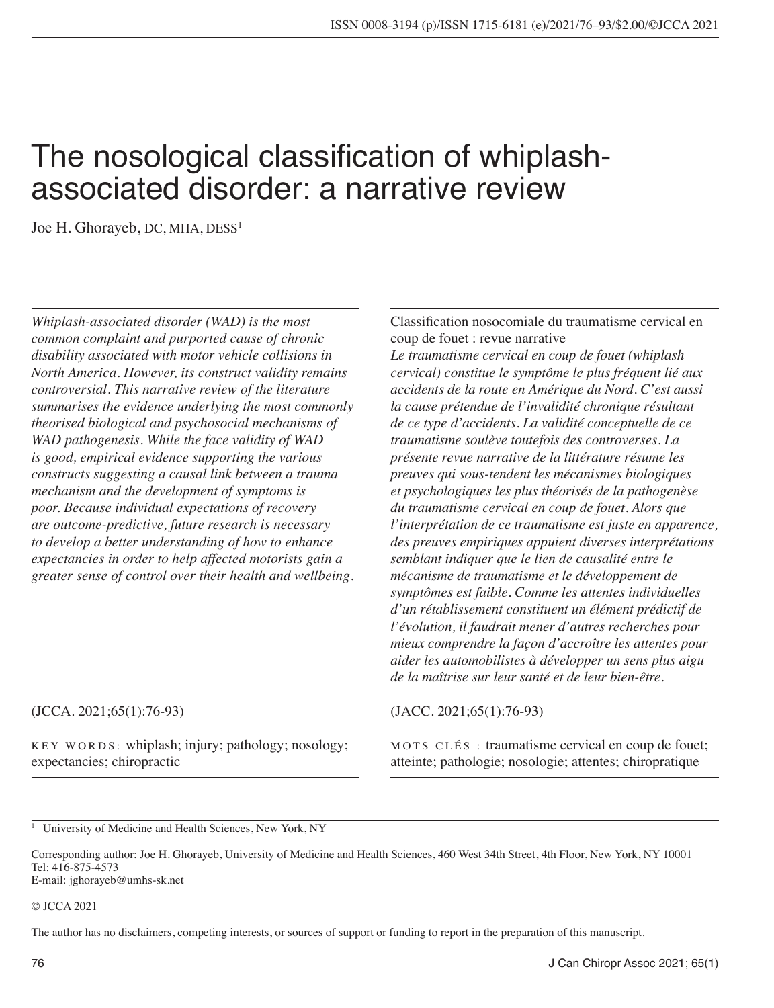# The nosological classification of whiplashassociated disorder: a narrative review

Joe H. Ghorayeb, DC, MHA, DESS<sup>1</sup>

*Whiplash-associated disorder (WAD) is the most common complaint and purported cause of chronic disability associated with motor vehicle collisions in North America. However, its construct validity remains controversial. This narrative review of the literature summarises the evidence underlying the most commonly theorised biological and psychosocial mechanisms of WAD pathogenesis. While the face validity of WAD is good, empirical evidence supporting the various constructs suggesting a causal link between a trauma mechanism and the development of symptoms is poor. Because individual expectations of recovery are outcome-predictive, future research is necessary to develop a better understanding of how to enhance expectancies in order to help affected motorists gain a greater sense of control over their health and wellbeing.* Classification nosocomiale du traumatisme cervical en coup de fouet : revue narrative

*Le traumatisme cervical en coup de fouet (whiplash cervical) constitue le symptôme le plus fréquent lié aux accidents de la route en Amérique du Nord. C'est aussi la cause prétendue de l'invalidité chronique résultant de ce type d'accidents. La validité conceptuelle de ce traumatisme soulève toutefois des controverses. La présente revue narrative de la littérature résume les preuves qui sous-tendent les mécanismes biologiques et psychologiques les plus théorisés de la pathogenèse du traumatisme cervical en coup de fouet. Alors que l'interprétation de ce traumatisme est juste en apparence, des preuves empiriques appuient diverses interprétations semblant indiquer que le lien de causalité entre le mécanisme de traumatisme et le développement de symptômes est faible. Comme les attentes individuelles d'un rétablissement constituent un élément prédictif de l'évolution, il faudrait mener d'autres recherches pour mieux comprendre la façon d'accroître les attentes pour aider les automobilistes à développer un sens plus aigu de la maîtrise sur leur santé et de leur bien-être.*

#### (JCCA. 2021;65(1):76-93)

KEY WORDS: whiplash; injury; pathology; nosology; expectancies; chiropractic

(JACC. 2021;65(1):76-93)

MOTS CLÉS : traumatisme cervical en coup de fouet; atteinte; pathologie; nosologie; attentes; chiropratique

<sup>1</sup> University of Medicine and Health Sciences, New York, NY

Corresponding author: Joe H. Ghorayeb, University of Medicine and Health Sciences, 460 West 34th Street, 4th Floor, New York, NY 10001 Tel: 416-875-4573 E-mail: [jghorayeb@umhs-sk.net](mailto:jghorayeb@umhs-sk.net)

#### © JCCA 2021

The author has no disclaimers, competing interests, or sources of support or funding to report in the preparation of this manuscript.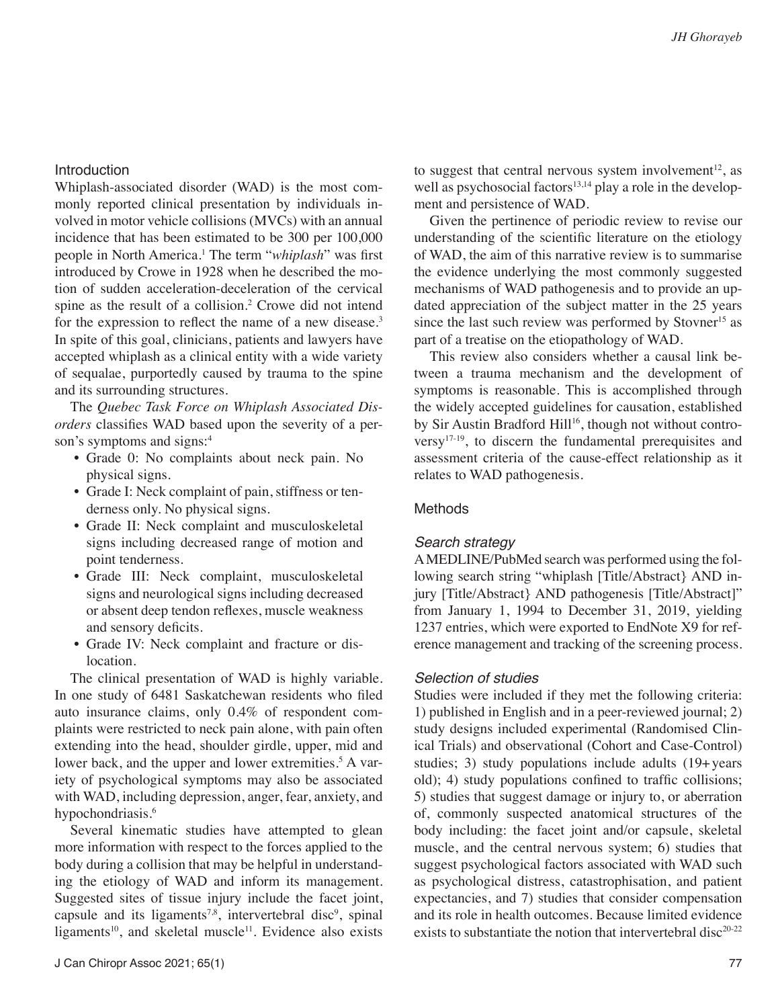## **Introduction**

Whiplash-associated disorder (WAD) is the most commonly reported clinical presentation by individuals involved in motor vehicle collisions (MVCs) with an annual incidence that has been estimated to be 300 per 100,000 people in North America.1 The term "*whiplash*" was first introduced by Crowe in 1928 when he described the motion of sudden acceleration-deceleration of the cervical spine as the result of a collision.<sup>2</sup> Crowe did not intend for the expression to reflect the name of a new disease.<sup>3</sup> In spite of this goal, clinicians, patients and lawyers have accepted whiplash as a clinical entity with a wide variety of sequalae, purportedly caused by trauma to the spine and its surrounding structures.

The *Quebec Task Force on Whiplash Associated Disorders* classifies WAD based upon the severity of a person's symptoms and signs:<sup>4</sup>

- Grade 0: No complaints about neck pain. No physical signs.
- Grade I: Neck complaint of pain, stiffness or tenderness only. No physical signs.
- Grade II: Neck complaint and musculoskeletal signs including decreased range of motion and point tenderness.
- Grade III: Neck complaint, musculoskeletal signs and neurological signs including decreased or absent deep tendon reflexes, muscle weakness and sensory deficits.
- Grade IV: Neck complaint and fracture or dislocation.

The clinical presentation of WAD is highly variable. In one study of 6481 Saskatchewan residents who filed auto insurance claims, only 0.4% of respondent complaints were restricted to neck pain alone, with pain often extending into the head, shoulder girdle, upper, mid and lower back, and the upper and lower extremities.<sup>5</sup> A variety of psychological symptoms may also be associated with WAD, including depression, anger, fear, anxiety, and hypochondriasis.<sup>6</sup>

Several kinematic studies have attempted to glean more information with respect to the forces applied to the body during a collision that may be helpful in understanding the etiology of WAD and inform its management. Suggested sites of tissue injury include the facet joint, capsule and its ligaments<sup>7,8</sup>, intervertebral disc<sup>9</sup>, spinal ligaments<sup>10</sup>, and skeletal muscle<sup>11</sup>. Evidence also exists

to suggest that central nervous system involvement<sup>12</sup>, as well as psychosocial factors<sup>13,14</sup> play a role in the development and persistence of WAD.

Given the pertinence of periodic review to revise our understanding of the scientific literature on the etiology of WAD, the aim of this narrative review is to summarise the evidence underlying the most commonly suggested mechanisms of WAD pathogenesis and to provide an updated appreciation of the subject matter in the 25 years since the last such review was performed by Stovner<sup>15</sup> as part of a treatise on the etiopathology of WAD.

This review also considers whether a causal link between a trauma mechanism and the development of symptoms is reasonable. This is accomplished through the widely accepted guidelines for causation, established by Sir Austin Bradford Hill<sup>16</sup>, though not without controversy17-19, to discern the fundamental prerequisites and assessment criteria of the cause-effect relationship as it relates to WAD pathogenesis.

#### Methods

#### *Search strategy*

A MEDLINE/PubMed search was performed using the following search string "whiplash [Title/Abstract} AND injury [Title/Abstract} AND pathogenesis [Title/Abstract]" from January 1, 1994 to December 31, 2019, yielding 1237 entries, which were exported to EndNote X9 for reference management and tracking of the screening process.

#### *Selection of studies*

Studies were included if they met the following criteria: 1) published in English and in a peer-reviewed journal; 2) study designs included experimental (Randomised Clinical Trials) and observational (Cohort and Case-Control) studies; 3) study populations include adults (19+years old); 4) study populations confined to traffic collisions; 5) studies that suggest damage or injury to, or aberration of, commonly suspected anatomical structures of the body including: the facet joint and/or capsule, skeletal muscle, and the central nervous system; 6) studies that suggest psychological factors associated with WAD such as psychological distress, catastrophisation, and patient expectancies, and 7) studies that consider compensation and its role in health outcomes. Because limited evidence exists to substantiate the notion that intervertebral disc<sup>20-22</sup>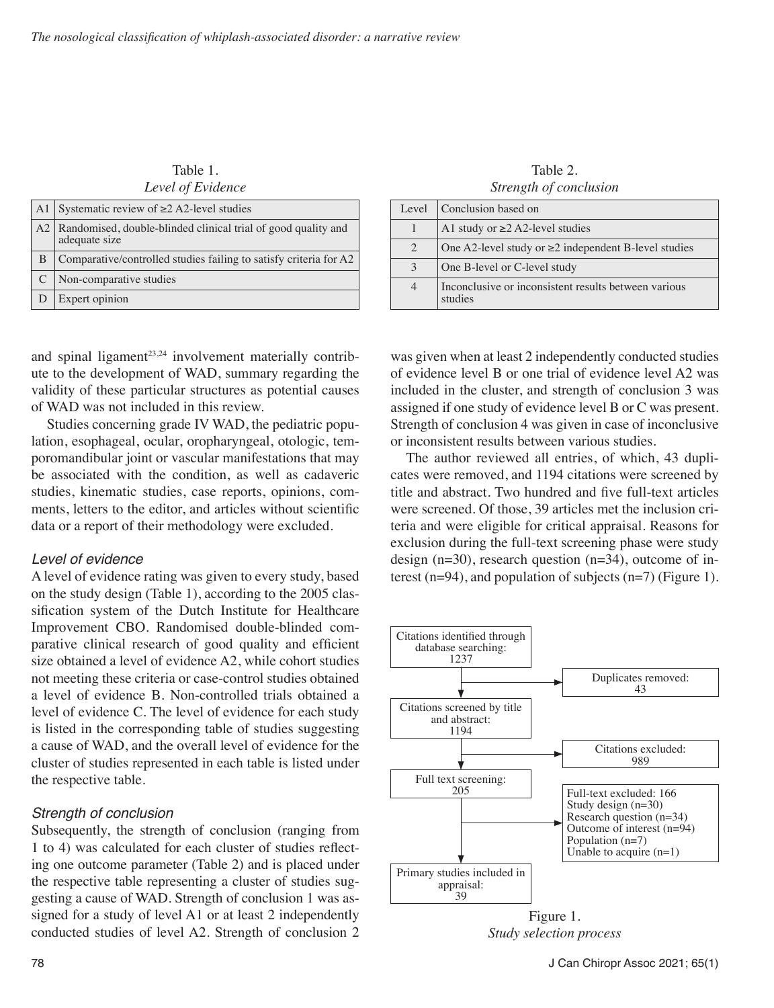| Table 1.          |
|-------------------|
| Level of Evidence |

| A1   Systematic review of $\geq$ 2 A2-level studies                                 |
|-------------------------------------------------------------------------------------|
| A2   Randomised, double-blinded clinical trial of good quality and<br>adequate size |
| Comparative/controlled studies failing to satisfy criteria for A2                   |
| Non-comparative studies                                                             |
| Expert opinion                                                                      |

and spinal ligament $2^{3,24}$  involvement materially contribute to the development of WAD, summary regarding the validity of these particular structures as potential causes of WAD was not included in this review.

Studies concerning grade IV WAD, the pediatric population, esophageal, ocular, oropharyngeal, otologic, temporomandibular joint or vascular manifestations that may be associated with the condition, as well as cadaveric studies, kinematic studies, case reports, opinions, comments, letters to the editor, and articles without scientific data or a report of their methodology were excluded.

#### *Level of evidence*

A level of evidence rating was given to every study, based on the study design (Table 1), according to the 2005 classification system of the Dutch Institute for Healthcare Improvement CBO. Randomised double-blinded comparative clinical research of good quality and efficient size obtained a level of evidence A2, while cohort studies not meeting these criteria or case-control studies obtained a level of evidence B. Non-controlled trials obtained a level of evidence C. The level of evidence for each study is listed in the corresponding table of studies suggesting a cause of WAD, and the overall level of evidence for the cluster of studies represented in each table is listed under the respective table.

# *Strength of conclusion*

Subsequently, the strength of conclusion (ranging from 1 to 4) was calculated for each cluster of studies reflecting one outcome parameter (Table 2) and is placed under the respective table representing a cluster of studies suggesting a cause of WAD. Strength of conclusion 1 was assigned for a study of level A1 or at least 2 independently conducted studies of level A2. Strength of conclusion 2

Table 2. *Strength of conclusion*

| Level          | Conclusion based on                                             |
|----------------|-----------------------------------------------------------------|
|                | A1 study or $\geq$ 2 A2-level studies                           |
| $\overline{2}$ | One A2-level study or $\geq$ 2 independent B-level studies      |
| 3              | One B-level or C-level study                                    |
| $\overline{4}$ | Inconclusive or inconsistent results between various<br>studies |

was given when at least 2 independently conducted studies of evidence level B or one trial of evidence level A2 was included in the cluster, and strength of conclusion 3 was assigned if one study of evidence level B or C was present. Strength of conclusion 4 was given in case of inconclusive or inconsistent results between various studies.

The author reviewed all entries, of which, 43 duplicates were removed, and 1194 citations were screened by title and abstract. Two hundred and five full-text articles were screened. Of those, 39 articles met the inclusion criteria and were eligible for critical appraisal. Reasons for exclusion during the full-text screening phase were study design  $(n=30)$ , research question  $(n=34)$ , outcome of interest (n=94), and population of subjects (n=7) (Figure 1).



*Study selection process*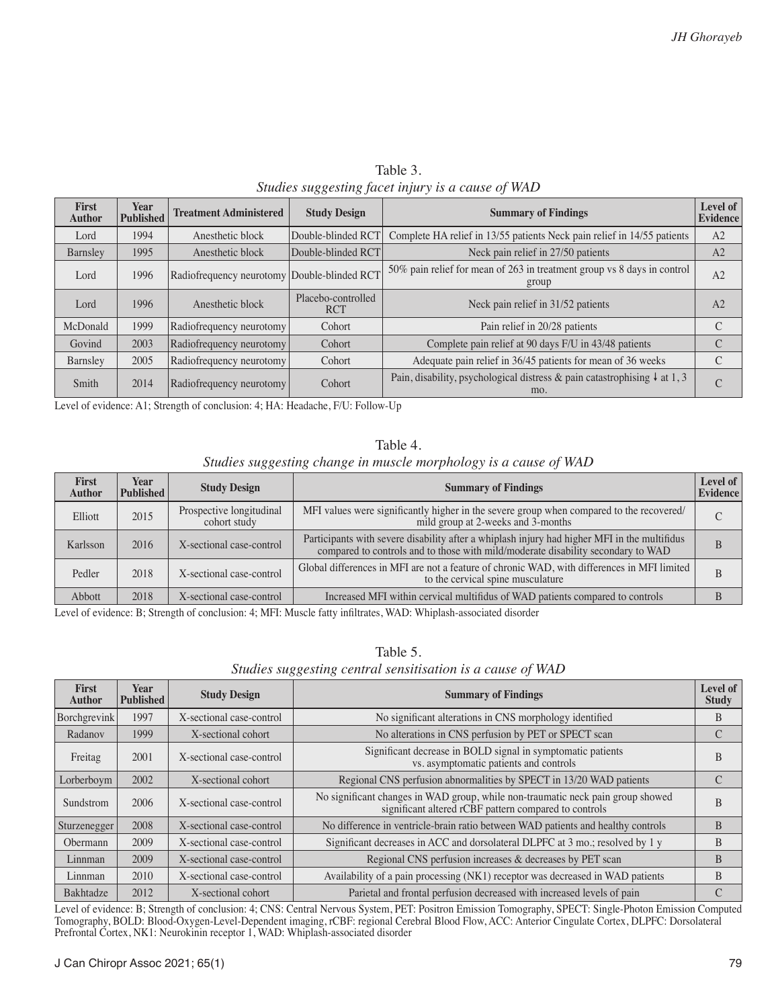| First<br><b>Author</b> | <b>Year</b><br><b>Published</b> | <b>Treatment Administered</b>               | <b>Study Design</b>              | <b>Summary of Findings</b>                                                                  | Level of<br><b>Evidence</b> |
|------------------------|---------------------------------|---------------------------------------------|----------------------------------|---------------------------------------------------------------------------------------------|-----------------------------|
| Lord                   | 1994                            | Anesthetic block                            | Double-blinded RCT               | Complete HA relief in 13/55 patients Neck pain relief in 14/55 patients                     | A2                          |
| Barnsley               | 1995                            | Anesthetic block                            | Double-blinded RCT               | Neck pain relief in 27/50 patients                                                          | A <sub>2</sub>              |
| Lord                   | 1996                            | Radiofrequency neurotomy Double-blinded RCT |                                  | 50% pain relief for mean of 263 in treatment group vs 8 days in control<br>group            | A <sub>2</sub>              |
| Lord                   | 1996                            | Anesthetic block                            | Placebo-controlled<br><b>RCT</b> | Neck pain relief in 31/52 patients                                                          | A <sub>2</sub>              |
| McDonald               | 1999                            | Radiofrequency neurotomy                    | Cohort                           | Pain relief in 20/28 patients                                                               | C                           |
| Govind                 | 2003                            | Radiofrequency neurotomy                    | Cohort                           | Complete pain relief at 90 days F/U in 43/48 patients                                       | C                           |
| Barnsley               | 2005                            | Radiofrequency neurotomy                    | Cohort                           | Adequate pain relief in 36/45 patients for mean of 36 weeks                                 | C                           |
| Smith                  | 2014                            | Radiofrequency neurotomy                    | Cohort                           | Pain, disability, psychological distress & pain catastrophising $\downarrow$ at 1, 3<br>mo. | $\cap$<br>U.                |

Table 3. *Studies suggesting facet injury is a cause of WAD*

Level of evidence: A1; Strength of conclusion: 4; HA: Headache, F/U: Follow-Up

#### Table 4.

#### *Studies suggesting change in muscle morphology is a cause of WAD*

| <b>First</b><br><b>Author</b> | Year<br><b>Published</b> | <b>Study Design</b>                      | <b>Summary of Findings</b>                                                                                                                                                       | Level of<br>Evidence |
|-------------------------------|--------------------------|------------------------------------------|----------------------------------------------------------------------------------------------------------------------------------------------------------------------------------|----------------------|
| Elliott                       | 2015                     | Prospective longitudinal<br>cohort study | MFI values were significantly higher in the severe group when compared to the recovered/<br>mild group at 2-weeks and 3-months                                                   | C                    |
| Karlsson                      | 2016                     | X-sectional case-control                 | Participants with severe disability after a whiplash injury had higher MFI in the multifidus<br>compared to controls and to those with mild/moderate disability secondary to WAD | B                    |
| Pedler                        | 2018                     | X-sectional case-control                 | Global differences in MFI are not a feature of chronic WAD, with differences in MFI limited<br>to the cervical spine musculature                                                 | B                    |
| Abbott                        | 2018                     | X-sectional case-control                 | Increased MFI within cervical multifidus of WAD patients compared to controls                                                                                                    |                      |

Level of evidence: B; Strength of conclusion: 4; MFI: Muscle fatty infiltrates, WAD: Whiplash-associated disorder

| Table 5.                                                   |  |
|------------------------------------------------------------|--|
| Studies suggesting central sensitisation is a cause of WAD |  |

| <b>First</b><br><b>Author</b> | <b>Year</b><br><b>Published</b> | <b>Study Design</b>      | <b>Summary of Findings</b>                                                                                                               | Level of<br><b>Study</b> |
|-------------------------------|---------------------------------|--------------------------|------------------------------------------------------------------------------------------------------------------------------------------|--------------------------|
| Borchgrevink                  | 1997                            | X-sectional case-control | No significant alterations in CNS morphology identified                                                                                  | B                        |
| Radanov                       | 1999                            | X-sectional cohort       | No alterations in CNS perfusion by PET or SPECT scan                                                                                     | С                        |
| Freitag                       | 2001                            | X-sectional case-control | Significant decrease in BOLD signal in symptomatic patients<br>vs. asymptomatic patients and controls                                    | B                        |
| Lorberboym                    | 2002                            | X-sectional cohort       | Regional CNS perfusion abnormalities by SPECT in 13/20 WAD patients                                                                      | C                        |
| Sundstrom                     | 2006                            | X-sectional case-control | No significant changes in WAD group, while non-traumatic neck pain group showed<br>significant altered rCBF pattern compared to controls | B                        |
| Sturzenegger                  | 2008                            | X-sectional case-control | No difference in ventricle-brain ratio between WAD patients and healthy controls                                                         | B                        |
| Obermann                      | 2009                            | X-sectional case-control | Significant decreases in ACC and dorsolateral DLPFC at 3 mo.; resolved by 1 y                                                            | B                        |
| Linnman                       | 2009                            | X-sectional case-control | Regional CNS perfusion increases & decreases by PET scan                                                                                 | B                        |
| Linnman                       | 2010                            | X-sectional case-control | Availability of a pain processing (NK1) receptor was decreased in WAD patients                                                           | B                        |
| Bakhtadze                     | 2012                            | X-sectional cohort       | Parietal and frontal perfusion decreased with increased levels of pain                                                                   |                          |

Level of evidence: B; Strength of conclusion: 4; CNS: Central Nervous System, PET: Positron Emission Tomography, SPECT: Single-Photon Emission Computed Tomography, BOLD: Blood-Oxygen-Level-Dependent imaging, rCBF: regional Cerebral Blood Flow, ACC: Anterior Cingulate Cortex, DLPFC: Dorsolateral Prefrontal Cortex, NK1: Neurokinin receptor 1, WAD: Whiplash-associated disorder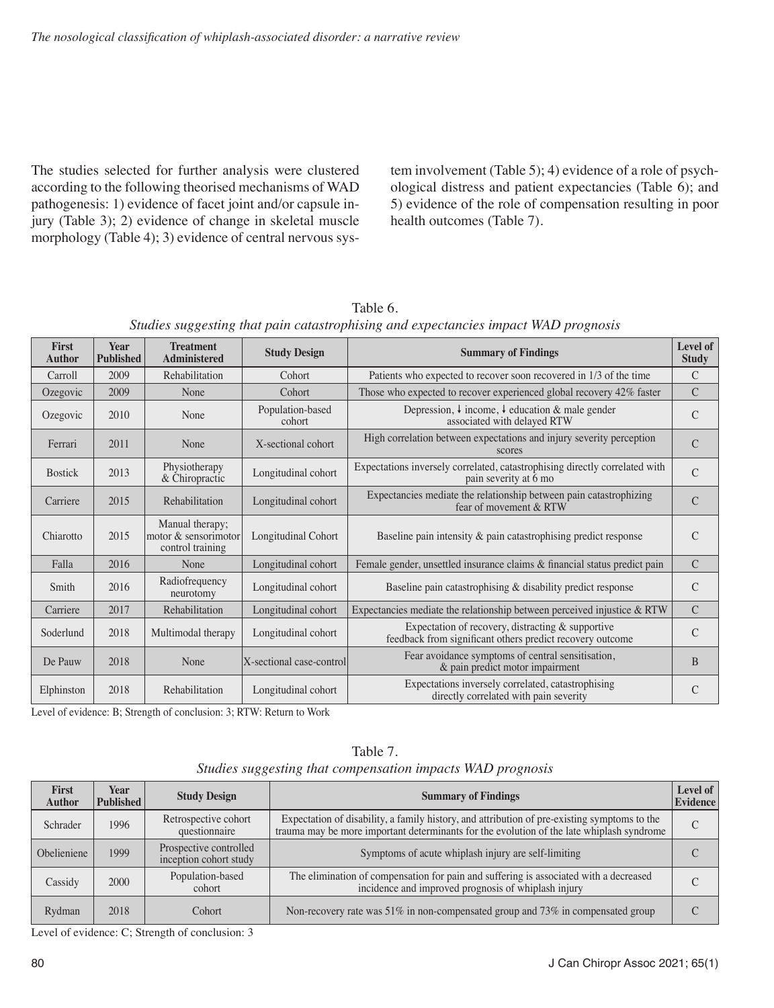The studies selected for further analysis were clustered according to the following theorised mechanisms of WAD pathogenesis: 1) evidence of facet joint and/or capsule injury (Table 3); 2) evidence of change in skeletal muscle morphology (Table 4); 3) evidence of central nervous system involvement (Table 5); 4) evidence of a role of psychological distress and patient expectancies (Table 6); and 5) evidence of the role of compensation resulting in poor health outcomes (Table 7).

| Table 6.                                                                           |  |
|------------------------------------------------------------------------------------|--|
| Studies suggesting that pain catastrophising and expectancies impact WAD prognosis |  |

| <b>First</b><br><b>Author</b> | <b>Year</b><br><b>Published</b> | <b>Treatment</b><br><b>Administered</b>                     | <b>Study Design</b>        | <b>Summary of Findings</b>                                                                                     | Level of<br><b>Study</b> |
|-------------------------------|---------------------------------|-------------------------------------------------------------|----------------------------|----------------------------------------------------------------------------------------------------------------|--------------------------|
| Carroll                       | 2009                            | Rehabilitation                                              | Cohort                     | Patients who expected to recover soon recovered in 1/3 of the time                                             | C                        |
| Ozegovic                      | 2009                            | None                                                        | Cohort                     | Those who expected to recover experienced global recovery 42% faster                                           | $\mathcal{C}$            |
| Ozegovic                      | 2010                            | None                                                        | Population-based<br>cohort | Depression, $\downarrow$ income, $\downarrow$ education & male gender<br>associated with delayed RTW           | $\mathcal{C}$            |
| Ferrari                       | 2011                            | None                                                        | X-sectional cohort         | High correlation between expectations and injury severity perception<br>scores                                 | $\mathcal{C}$            |
| <b>Bostick</b>                | 2013                            | Physiotherapy<br>& Chiropractic                             | Longitudinal cohort        | Expectations inversely correlated, catastrophising directly correlated with<br>pain severity at 6 mo           | $\overline{C}$           |
| Carriere                      | 2015                            | Rehabilitation                                              | Longitudinal cohort        | Expectancies mediate the relationship between pain catastrophizing<br>fear of movement & RTW                   | $\overline{C}$           |
| Chiarotto                     | 2015                            | Manual therapy;<br>motor & sensorimotor<br>control training | Longitudinal Cohort        | Baseline pain intensity $\&$ pain catastrophising predict response                                             | C                        |
| Falla                         | 2016                            | None                                                        | Longitudinal cohort        | Female gender, unsettled insurance claims $\&$ financial status predict pain                                   | $\mathcal{C}$            |
| Smith                         | 2016                            | Radiofrequency<br>neurotomy                                 | Longitudinal cohort        | Baseline pain catastrophising & disability predict response                                                    | $\mathcal{C}$            |
| Carriere                      | 2017                            | Rehabilitation                                              | Longitudinal cohort        | Expectancies mediate the relationship between perceived injustice $& RTW$                                      | $\mathcal{C}$            |
| Soderlund                     | 2018                            | Multimodal therapy                                          | Longitudinal cohort        | Expectation of recovery, distracting & supportive<br>feedback from significant others predict recovery outcome | C                        |
| De Pauw                       | 2018                            | None                                                        | X-sectional case-control   | Fear avoidance symptoms of central sensitisation,<br>& pain predict motor impairment                           | B                        |
| Elphinston                    | 2018                            | Rehabilitation                                              | Longitudinal cohort        | Expectations inversely correlated, catastrophising<br>directly correlated with pain severity                   | $\overline{C}$           |

Level of evidence: B; Strength of conclusion: 3; RTW: Return to Work

| <b>First</b><br><b>Author</b> | Year<br><b>Published</b> | <b>Study Design</b>                              | <b>Summary of Findings</b>                                                                                                                                                                | Level of<br>Evidence |
|-------------------------------|--------------------------|--------------------------------------------------|-------------------------------------------------------------------------------------------------------------------------------------------------------------------------------------------|----------------------|
| Schrader                      | 1996                     | Retrospective cohort<br>questionnaire            | Expectation of disability, a family history, and attribution of pre-existing symptoms to the<br>trauma may be more important determinants for the evolution of the late whiplash syndrome | C                    |
| Obelieniene                   | 1999                     | Prospective controlled<br>inception cohort study | Symptoms of acute whiplash injury are self-limiting                                                                                                                                       |                      |
| Cassidy                       | 2000                     | Population-based<br>cohort                       | The elimination of compensation for pain and suffering is associated with a decreased<br>incidence and improved prognosis of whiplash injury                                              |                      |
| Rydman                        | 2018                     | Cohort                                           | Non-recovery rate was 51% in non-compensated group and 73% in compensated group                                                                                                           |                      |

Table 7. *Studies suggesting that compensation impacts WAD prognosis*

Level of evidence: C; Strength of conclusion: 3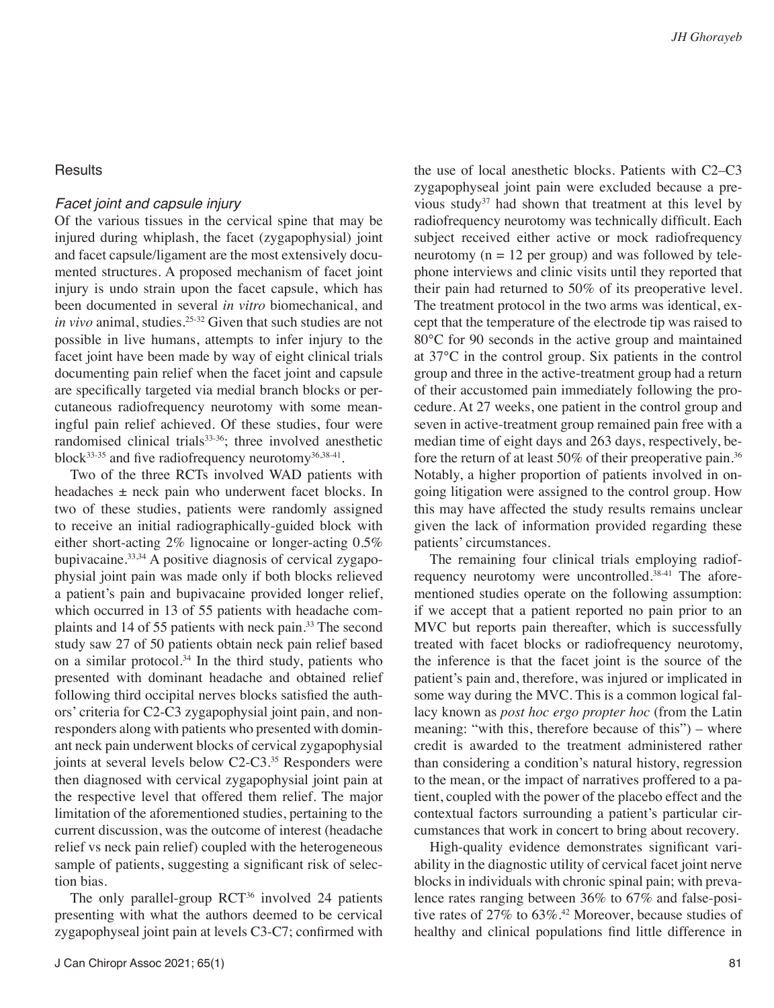#### **Results**

#### *Facet joint and capsule injury*

Of the various tissues in the cervical spine that may be injured during whiplash, the facet (zygapophysial) joint and facet capsule/ligament are the most extensively documented structures. A proposed mechanism of facet joint injury is undo strain upon the facet capsule, which has been documented in several *in vitro* biomechanical, and *in vivo* animal, studies.<sup>25-32</sup> Given that such studies are not possible in live humans, attempts to infer injury to the facet joint have been made by way of eight clinical trials documenting pain relief when the facet joint and capsule are specifically targeted via medial branch blocks or percutaneous radiofrequency neurotomy with some meaningful pain relief achieved. Of these studies, four were randomised clinical trials<sup>33-36</sup>; three involved anesthetic block<sup>33-35</sup> and five radiofrequency neurotomy<sup>36,38-41</sup>.

Two of the three RCTs involved WAD patients with headaches  $\pm$  neck pain who underwent facet blocks. In two of these studies, patients were randomly assigned to receive an initial radiographically-guided block with either short-acting 2% lignocaine or longer-acting 0.5% bupivacaine.33,34 A positive diagnosis of cervical zygapophysial joint pain was made only if both blocks relieved a patient's pain and bupivacaine provided longer relief, which occurred in 13 of 55 patients with headache complaints and 14 of 55 patients with neck pain.33 The second study saw 27 of 50 patients obtain neck pain relief based on a similar protocol.34 In the third study, patients who presented with dominant headache and obtained relief following third occipital nerves blocks satisfied the authors' criteria for C2-C3 zygapophysial joint pain, and nonresponders along with patients who presented with dominant neck pain underwent blocks of cervical zygapophysial joints at several levels below C2-C3.<sup>35</sup> Responders were then diagnosed with cervical zygapophysial joint pain at the respective level that offered them relief. The major limitation of the aforementioned studies, pertaining to the current discussion, was the outcome of interest (headache relief vs neck pain relief) coupled with the heterogeneous sample of patients, suggesting a significant risk of selection bias.

The only parallel-group  $RCT<sup>36</sup>$  involved 24 patients presenting with what the authors deemed to be cervical zygapophyseal joint pain at levels C3-C7; confirmed with

the use of local anesthetic blocks. Patients with C2–C3 zygapophyseal joint pain were excluded because a previous study<sup>37</sup> had shown that treatment at this level by radiofrequency neurotomy was technically difficult. Each subject received either active or mock radiofrequency neurotomy ( $n = 12$  per group) and was followed by telephone interviews and clinic visits until they reported that their pain had returned to 50% of its preoperative level. The treatment protocol in the two arms was identical, except that the temperature of the electrode tip was raised to 80°C for 90 seconds in the active group and maintained at 37°C in the control group. Six patients in the control group and three in the active-treatment group had a return of their accustomed pain immediately following the procedure. At 27 weeks, one patient in the control group and seven in active-treatment group remained pain free with a median time of eight days and 263 days, respectively, before the return of at least 50% of their preoperative pain.36 Notably, a higher proportion of patients involved in ongoing litigation were assigned to the control group. How this may have affected the study results remains unclear given the lack of information provided regarding these patients' circumstances.

The remaining four clinical trials employing radiofrequency neurotomy were uncontrolled.38-41 The aforementioned studies operate on the following assumption: if we accept that a patient reported no pain prior to an MVC but reports pain thereafter, which is successfully treated with facet blocks or radiofrequency neurotomy, the inference is that the facet joint is the source of the patient's pain and, therefore, was injured or implicated in some way during the MVC. This is a common logical fallacy known as *post hoc ergo propter hoc* (from the Latin meaning: "with this, therefore because of this") – where credit is awarded to the treatment administered rather than considering a condition's natural history, regression to the mean, or the impact of narratives proffered to a patient, coupled with the power of the placebo effect and the contextual factors surrounding a patient's particular circumstances that work in concert to bring about recovery.

High-quality evidence demonstrates significant variability in the diagnostic utility of cervical facet joint nerve blocks in individuals with chronic spinal pain; with prevalence rates ranging between 36% to 67% and false-positive rates of 27% to 63%.42 Moreover, because studies of healthy and clinical populations find little difference in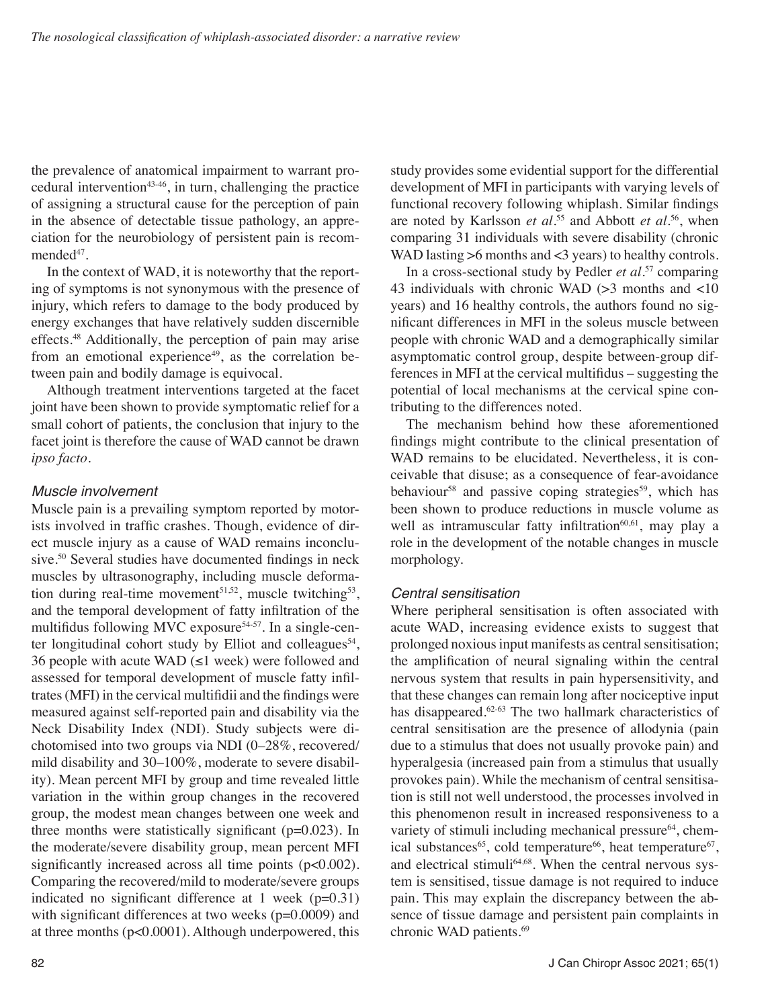the prevalence of anatomical impairment to warrant procedural intervention<sup>43-46</sup>, in turn, challenging the practice of assigning a structural cause for the perception of pain in the absence of detectable tissue pathology, an appreciation for the neurobiology of persistent pain is recommended<sup>47</sup>.

In the context of WAD, it is noteworthy that the reporting of symptoms is not synonymous with the presence of injury, which refers to damage to the body produced by energy exchanges that have relatively sudden discernible effects.<sup>48</sup> Additionally, the perception of pain may arise from an emotional experience<sup>49</sup>, as the correlation between pain and bodily damage is equivocal.

Although treatment interventions targeted at the facet joint have been shown to provide symptomatic relief for a small cohort of patients, the conclusion that injury to the facet joint is therefore the cause of WAD cannot be drawn *ipso facto*.

#### *Muscle involvement*

Muscle pain is a prevailing symptom reported by motorists involved in traffic crashes. Though, evidence of direct muscle injury as a cause of WAD remains inconclusive.<sup>50</sup> Several studies have documented findings in neck muscles by ultrasonography, including muscle deformation during real-time movement<sup>51,52</sup>, muscle twitching<sup>53</sup>, and the temporal development of fatty infiltration of the multifidus following MVC exposure<sup>54-57</sup>. In a single-center longitudinal cohort study by Elliot and colleagues<sup>54</sup>, 36 people with acute WAD  $(\leq 1$  week) were followed and assessed for temporal development of muscle fatty infiltrates (MFI) in the cervical multifidii and the findings were measured against self-reported pain and disability via the Neck Disability Index (NDI). Study subjects were dichotomised into two groups via NDI (0–28%, recovered/ mild disability and 30–100%, moderate to severe disability). Mean percent MFI by group and time revealed little variation in the within group changes in the recovered group, the modest mean changes between one week and three months were statistically significant  $(p=0.023)$ . In the moderate/severe disability group, mean percent MFI significantly increased across all time points (p<0.002). Comparing the recovered/mild to moderate/severe groups indicated no significant difference at 1 week  $(p=0.31)$ with significant differences at two weeks  $(p=0.0009)$  and at three months (p<0.0001). Although underpowered, this study provides some evidential support for the differential development of MFI in participants with varying levels of functional recovery following whiplash. Similar findings are noted by Karlsson *et al.*55 and Abbott *et al*. 56, when comparing 31 individuals with severe disability (chronic WAD lasting >6 months and <3 years) to healthy controls.

In a cross-sectional study by Pedler *et al.*57 comparing 43 individuals with chronic WAD ( $>$ 3 months and  $<$ 10 years) and 16 healthy controls, the authors found no significant differences in MFI in the soleus muscle between people with chronic WAD and a demographically similar asymptomatic control group, despite between-group differences in MFI at the cervical multifidus – suggesting the potential of local mechanisms at the cervical spine contributing to the differences noted.

The mechanism behind how these aforementioned findings might contribute to the clinical presentation of WAD remains to be elucidated. Nevertheless, it is conceivable that disuse; as a consequence of fear-avoidance behaviour<sup>58</sup> and passive coping strategies<sup>59</sup>, which has been shown to produce reductions in muscle volume as well as intramuscular fatty infiltration $60,61$ , may play a role in the development of the notable changes in muscle morphology.

# *Central sensitisation*

Where peripheral sensitisation is often associated with acute WAD, increasing evidence exists to suggest that prolonged noxious input manifests as central sensitisation; the amplification of neural signaling within the central nervous system that results in pain hypersensitivity, and that these changes can remain long after nociceptive input has disappeared.<sup>62-63</sup> The two hallmark characteristics of central sensitisation are the presence of allodynia (pain due to a stimulus that does not usually provoke pain) and hyperalgesia (increased pain from a stimulus that usually provokes pain). While the mechanism of central sensitisation is still not well understood, the processes involved in this phenomenon result in increased responsiveness to a variety of stimuli including mechanical pressure<sup>64</sup>, chemical substances<sup>65</sup>, cold temperature<sup>66</sup>, heat temperature<sup>67</sup>, and electrical stimuli<sup>64,68</sup>. When the central nervous system is sensitised, tissue damage is not required to induce pain. This may explain the discrepancy between the absence of tissue damage and persistent pain complaints in chronic WAD patients.<sup>69</sup>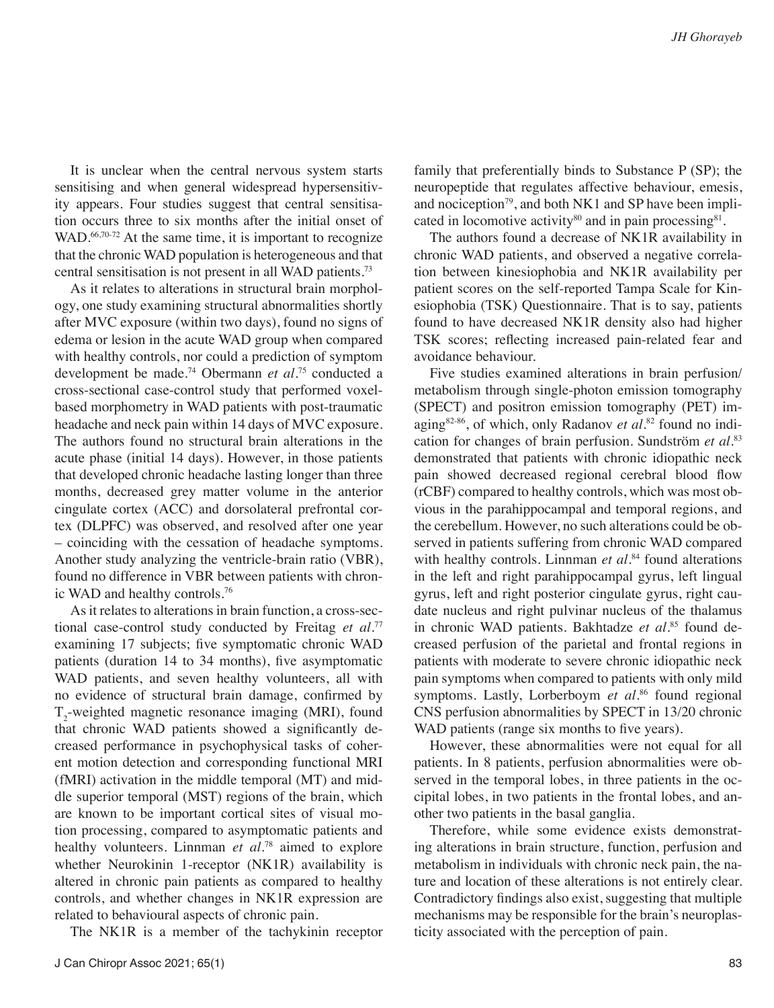It is unclear when the central nervous system starts sensitising and when general widespread hypersensitivity appears. Four studies suggest that central sensitisation occurs three to six months after the initial onset of WAD.<sup>66,70-72</sup> At the same time, it is important to recognize that the chronic WAD population is heterogeneous and that central sensitisation is not present in all WAD patients.73

As it relates to alterations in structural brain morphology, one study examining structural abnormalities shortly after MVC exposure (within two days), found no signs of edema or lesion in the acute WAD group when compared with healthy controls, nor could a prediction of symptom development be made.74 Obermann *et al*. 75 conducted a cross-sectional case-control study that performed voxelbased morphometry in WAD patients with post-traumatic headache and neck pain within 14 days of MVC exposure. The authors found no structural brain alterations in the acute phase (initial 14 days). However, in those patients that developed chronic headache lasting longer than three months, decreased grey matter volume in the anterior cingulate cortex (ACC) and dorsolateral prefrontal cortex (DLPFC) was observed, and resolved after one year – coinciding with the cessation of headache symptoms. Another study analyzing the ventricle-brain ratio (VBR), found no difference in VBR between patients with chronic WAD and healthy controls.76

As it relates to alterations in brain function, a cross-sectional case-control study conducted by Freitag *et al*. 77 examining 17 subjects; five symptomatic chronic WAD patients (duration 14 to 34 months), five asymptomatic WAD patients, and seven healthy volunteers, all with no evidence of structural brain damage, confirmed by  $T_2$ -weighted magnetic resonance imaging (MRI), found that chronic WAD patients showed a significantly decreased performance in psychophysical tasks of coherent motion detection and corresponding functional MRI (fMRI) activation in the middle temporal (MT) and middle superior temporal (MST) regions of the brain, which are known to be important cortical sites of visual motion processing, compared to asymptomatic patients and healthy volunteers. Linnman *et al*. 78 aimed to explore whether Neurokinin 1-receptor (NK1R) availability is altered in chronic pain patients as compared to healthy controls, and whether changes in NK1R expression are related to behavioural aspects of chronic pain.

The NK1R is a member of the tachykinin receptor

family that preferentially binds to Substance P (SP); the neuropeptide that regulates affective behaviour, emesis, and nociception<sup>79</sup>, and both NK1 and SP have been implicated in locomotive activity $80$  and in pain processing $81$ .

The authors found a decrease of NK1R availability in chronic WAD patients, and observed a negative correlation between kinesiophobia and NK1R availability per patient scores on the self-reported Tampa Scale for Kinesiophobia (TSK) Questionnaire. That is to say, patients found to have decreased NK1R density also had higher TSK scores; reflecting increased pain-related fear and avoidance behaviour.

Five studies examined alterations in brain perfusion/ metabolism through single-photon emission tomography (SPECT) and positron emission tomography (PET) imaging82-86, of which, only Radanov *et al*. 82 found no indication for changes of brain perfusion. Sundström *et al*. 83 demonstrated that patients with chronic idiopathic neck pain showed decreased regional cerebral blood flow (rCBF) compared to healthy controls, which was most obvious in the parahippocampal and temporal regions, and the cerebellum. However, no such alterations could be observed in patients suffering from chronic WAD compared with healthy controls. Linnman *et al*. 84 found alterations in the left and right parahippocampal gyrus, left lingual gyrus, left and right posterior cingulate gyrus, right caudate nucleus and right pulvinar nucleus of the thalamus in chronic WAD patients. Bakhtadze *et al*. 85 found decreased perfusion of the parietal and frontal regions in patients with moderate to severe chronic idiopathic neck pain symptoms when compared to patients with only mild symptoms. Lastly, Lorberboym *et al*. 86 found regional CNS perfusion abnormalities by SPECT in 13/20 chronic WAD patients (range six months to five years).

However, these abnormalities were not equal for all patients. In 8 patients, perfusion abnormalities were observed in the temporal lobes, in three patients in the occipital lobes, in two patients in the frontal lobes, and another two patients in the basal ganglia.

Therefore, while some evidence exists demonstrating alterations in brain structure, function, perfusion and metabolism in individuals with chronic neck pain, the nature and location of these alterations is not entirely clear. Contradictory findings also exist, suggesting that multiple mechanisms may be responsible for the brain's neuroplasticity associated with the perception of pain.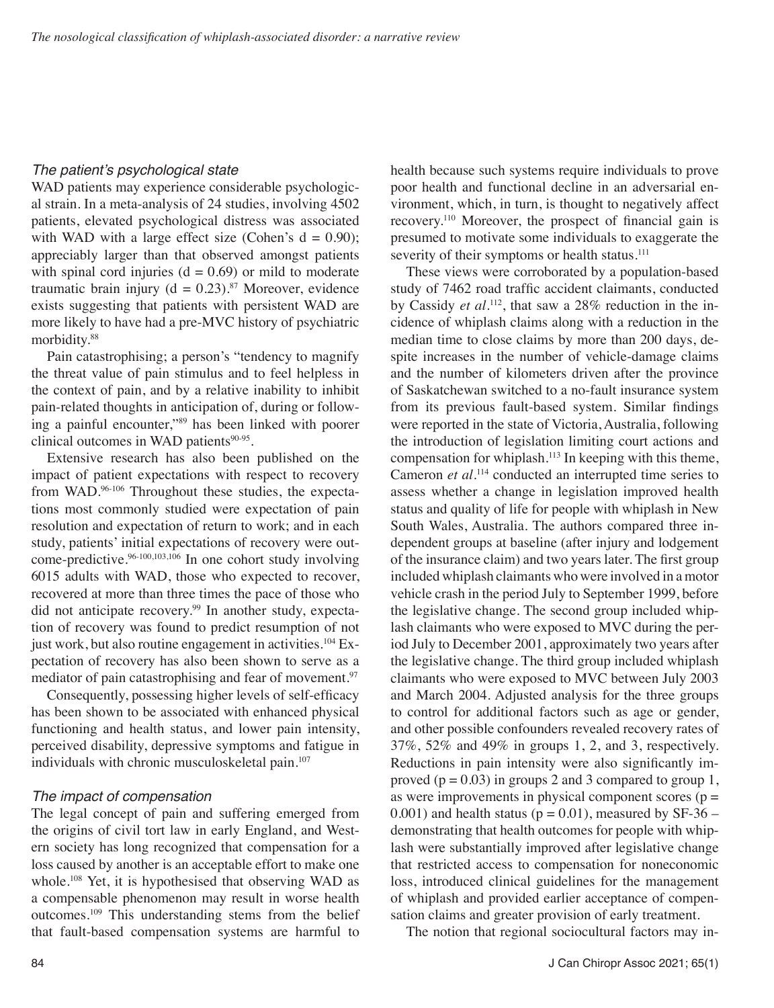## The patient's psychological state

WAD patients may experience considerable psychological strain. In a meta-analysis of 24 studies, involving 4502 patients, elevated psychological distress was associated with WAD with a large effect size (Cohen's  $d = 0.90$ ); appreciably larger than that observed amongst patients with spinal cord injuries ( $d = 0.69$ ) or mild to moderate traumatic brain injury ( $d = 0.23$ ).<sup>87</sup> Moreover, evidence exists suggesting that patients with persistent WAD are more likely to have had a pre-MVC history of psychiatric morbidity.88

Pain catastrophising; a person's "tendency to magnify the threat value of pain stimulus and to feel helpless in the context of pain, and by a relative inability to inhibit pain*-*related thoughts in anticipation of, during or following a painful encounter,"89 has been linked with poorer clinical outcomes in WAD patients<sup>90-95</sup>.

Extensive research has also been published on the impact of patient expectations with respect to recovery from WAD.<sup>96-106</sup> Throughout these studies, the expectations most commonly studied were expectation of pain resolution and expectation of return to work; and in each study, patients' initial expectations of recovery were outcome-predictive.96-100,103,106 In one cohort study involving 6015 adults with WAD, those who expected to recover, recovered at more than three times the pace of those who did not anticipate recovery.<sup>99</sup> In another study, expectation of recovery was found to predict resumption of not just work, but also routine engagement in activities.<sup>104</sup> Expectation of recovery has also been shown to serve as a mediator of pain catastrophising and fear of movement.<sup>97</sup>

Consequently, possessing higher levels of self-efficacy has been shown to be associated with enhanced physical functioning and health status, and lower pain intensity, perceived disability, depressive symptoms and fatigue in individuals with chronic musculoskeletal pain.<sup>107</sup>

# *The impact of compensation*

The legal concept of pain and suffering emerged from the origins of civil tort law in early England, and Western society has long recognized that compensation for a loss caused by another is an acceptable effort to make one whole.<sup>108</sup> Yet, it is hypothesised that observing WAD as a compensable phenomenon may result in worse health outcomes.109 This understanding stems from the belief that fault-based compensation systems are harmful to health because such systems require individuals to prove poor health and functional decline in an adversarial environment, which, in turn, is thought to negatively affect recovery.110 Moreover, the prospect of financial gain is presumed to motivate some individuals to exaggerate the severity of their symptoms or health status.<sup>111</sup>

These views were corroborated by a population-based study of 7462 road traffic accident claimants, conducted by Cassidy *et al*. 112, that saw a 28% reduction in the incidence of whiplash claims along with a reduction in the median time to close claims by more than 200 days, despite increases in the number of vehicle-damage claims and the number of kilometers driven after the province of Saskatchewan switched to a no-fault insurance system from its previous fault-based system. Similar findings were reported in the state of Victoria, Australia, following the introduction of legislation limiting court actions and compensation for whiplash.113 In keeping with this theme, Cameron *et al*. 114 conducted an interrupted time series to assess whether a change in legislation improved health status and quality of life for people with whiplash in New South Wales, Australia. The authors compared three independent groups at baseline (after injury and lodgement of the insurance claim) and two years later. The first group included whiplash claimants who were involved in a motor vehicle crash in the period July to September 1999, before the legislative change. The second group included whiplash claimants who were exposed to MVC during the period July to December 2001, approximately two years after the legislative change. The third group included whiplash claimants who were exposed to MVC between July 2003 and March 2004. Adjusted analysis for the three groups to control for additional factors such as age or gender, and other possible confounders revealed recovery rates of 37%, 52% and 49% in groups 1, 2, and 3, respectively. Reductions in pain intensity were also significantly improved ( $p = 0.03$ ) in groups 2 and 3 compared to group 1, as were improvements in physical component scores ( $p =$ 0.001) and health status ( $p = 0.01$ ), measured by SF-36 – demonstrating that health outcomes for people with whiplash were substantially improved after legislative change that restricted access to compensation for noneconomic loss, introduced clinical guidelines for the management of whiplash and provided earlier acceptance of compensation claims and greater provision of early treatment.

The notion that regional sociocultural factors may in-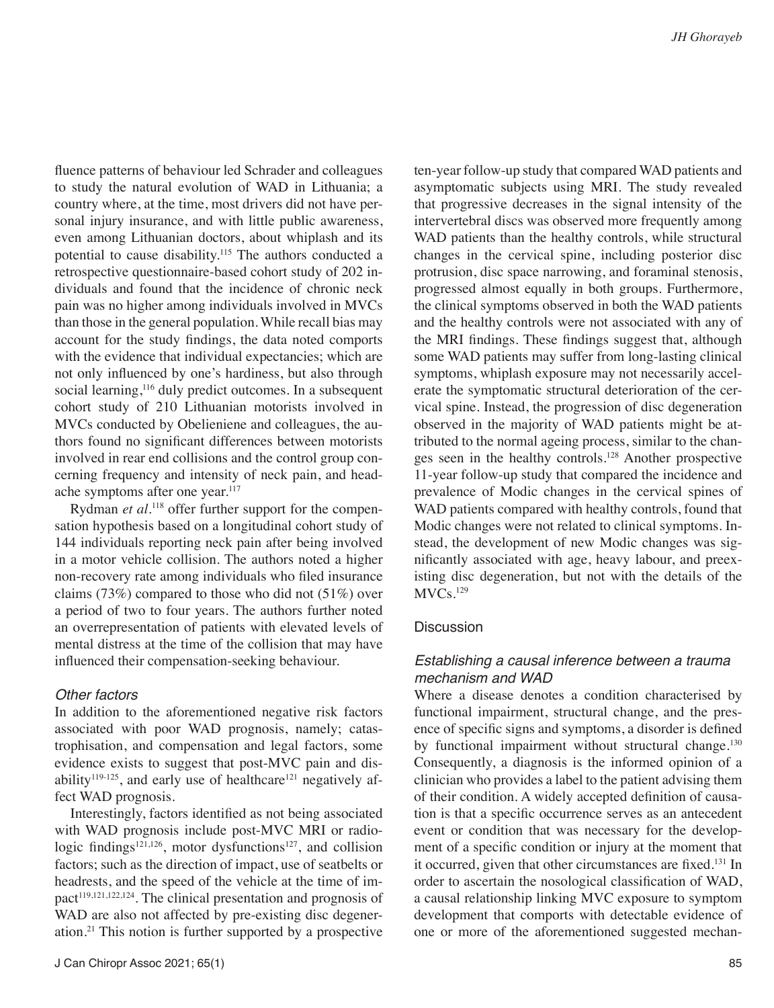fluence patterns of behaviour led Schrader and colleagues to study the natural evolution of WAD in Lithuania; a country where, at the time, most drivers did not have personal injury insurance, and with little public awareness, even among Lithuanian doctors, about whiplash and its potential to cause disability.115 The authors conducted a retrospective questionnaire-based cohort study of 202 individuals and found that the incidence of chronic neck pain was no higher among individuals involved in MVCs than those in the general population. While recall bias may account for the study findings, the data noted comports with the evidence that individual expectancies; which are not only influenced by one's hardiness, but also through social learning,<sup>116</sup> duly predict outcomes. In a subsequent cohort study of 210 Lithuanian motorists involved in MVCs conducted by Obelieniene and colleagues, the authors found no significant differences between motorists involved in rear end collisions and the control group concerning frequency and intensity of neck pain, and headache symptoms after one year.<sup>117</sup>

Rydman *et al.*118 offer further support for the compensation hypothesis based on a longitudinal cohort study of 144 individuals reporting neck pain after being involved in a motor vehicle collision. The authors noted a higher non-recovery rate among individuals who filed insurance claims  $(73%)$  compared to those who did not  $(51%)$  over a period of two to four years. The authors further noted an overrepresentation of patients with elevated levels of mental distress at the time of the collision that may have influenced their compensation-seeking behaviour.

#### *Other factors*

In addition to the aforementioned negative risk factors associated with poor WAD prognosis, namely; catastrophisation, and compensation and legal factors, some evidence exists to suggest that post-MVC pain and disability<sup>119-125</sup>, and early use of healthcare<sup>121</sup> negatively affect WAD prognosis.

Interestingly, factors identified as not being associated with WAD prognosis include post-MVC MRI or radiologic findings<sup>121,126</sup>, motor dysfunctions<sup>127</sup>, and collision factors; such as the direction of impact, use of seatbelts or headrests, and the speed of the vehicle at the time of im $pact<sup>119,121,122,124</sup>$ . The clinical presentation and prognosis of WAD are also not affected by pre-existing disc degeneration.21 This notion is further supported by a prospective ten-year follow-up study that compared WAD patients and asymptomatic subjects using MRI. The study revealed that progressive decreases in the signal intensity of the intervertebral discs was observed more frequently among WAD patients than the healthy controls, while structural changes in the cervical spine, including posterior disc protrusion, disc space narrowing, and foraminal stenosis, progressed almost equally in both groups. Furthermore, the clinical symptoms observed in both the WAD patients and the healthy controls were not associated with any of the MRI findings. These findings suggest that, although some WAD patients may suffer from long-lasting clinical symptoms, whiplash exposure may not necessarily accelerate the symptomatic structural deterioration of the cervical spine. Instead, the progression of disc degeneration observed in the majority of WAD patients might be attributed to the normal ageing process, similar to the changes seen in the healthy controls.128 Another prospective 11-year follow-up study that compared the incidence and prevalence of Modic changes in the cervical spines of WAD patients compared with healthy controls, found that Modic changes were not related to clinical symptoms. Instead, the development of new Modic changes was significantly associated with age, heavy labour, and preexisting disc degeneration, but not with the details of the MVCs.129

#### **Discussion**

#### *Establishing a causal inference between a trauma mechanism and WAD*

Where a disease denotes a condition characterised by functional impairment, structural change, and the presence of specific signs and symptoms, a disorder is defined by functional impairment without structural change.<sup>130</sup> Consequently, a diagnosis is the informed opinion of a clinician who provides a label to the patient advising them of their condition. A widely accepted definition of causation is that a specific occurrence serves as an antecedent event or condition that was necessary for the development of a specific condition or injury at the moment that it occurred, given that other circumstances are fixed.131 In order to ascertain the nosological classification of WAD, a causal relationship linking MVC exposure to symptom development that comports with detectable evidence of one or more of the aforementioned suggested mechan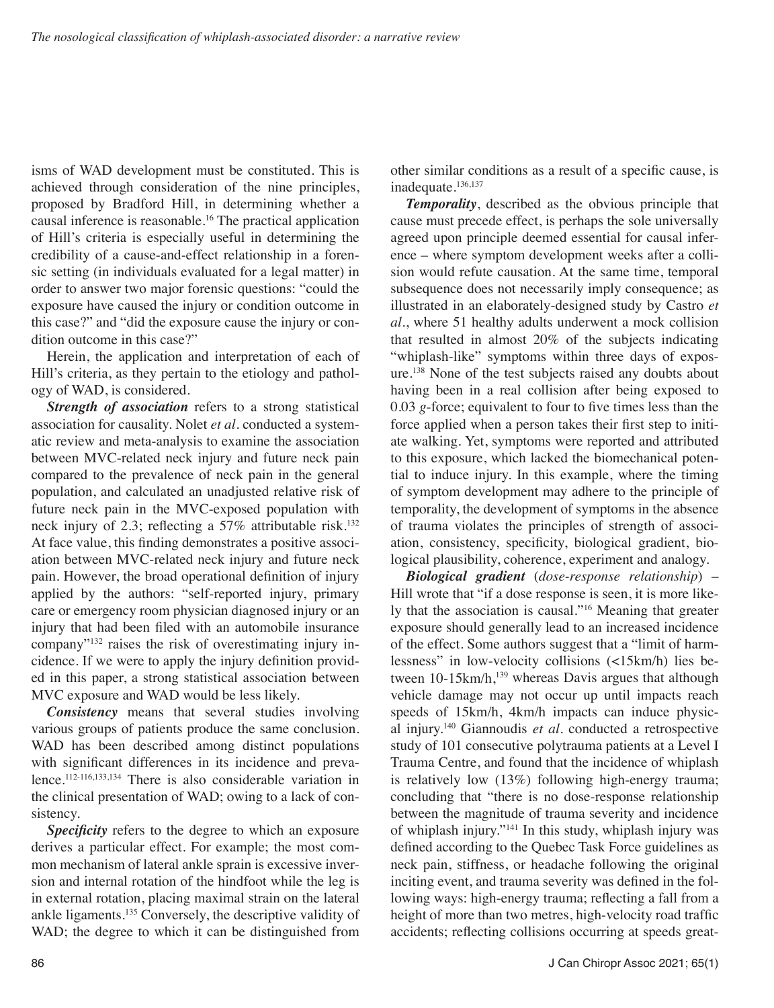isms of WAD development must be constituted. This is achieved through consideration of the nine principles, proposed by Bradford Hill, in determining whether a causal inference is reasonable.<sup>16</sup> The practical application of Hill's criteria is especially useful in determining the credibility of a cause-and-effect relationship in a forensic setting (in individuals evaluated for a legal matter) in order to answer two major forensic questions: "could the exposure have caused the injury or condition outcome in this case?" and "did the exposure cause the injury or condition outcome in this case?"

Herein, the application and interpretation of each of Hill's criteria, as they pertain to the etiology and pathology of WAD, is considered.

*Strength of association* refers to a strong statistical association for causality. Nolet *et al.* conducted a systematic review and meta-analysis to examine the association between MVC-related neck injury and future neck pain compared to the prevalence of neck pain in the general population, and calculated an unadjusted relative risk of future neck pain in the MVC-exposed population with neck injury of 2.3; reflecting a 57% attributable risk.<sup>132</sup> At face value, this finding demonstrates a positive association between MVC-related neck injury and future neck pain. However, the broad operational definition of injury applied by the authors: "self-reported injury, primary care or emergency room physician diagnosed injury or an injury that had been filed with an automobile insurance company"132 raises the risk of overestimating injury incidence. If we were to apply the injury definition provided in this paper, a strong statistical association between MVC exposure and WAD would be less likely.

*Consistency* means that several studies involving various groups of patients produce the same conclusion. WAD has been described among distinct populations with significant differences in its incidence and prevalence.112-116,133,134 There is also considerable variation in the clinical presentation of WAD; owing to a lack of consistency.

**Specificity** refers to the degree to which an exposure derives a particular effect. For example; the most common mechanism of lateral ankle sprain is excessive inversion and internal rotation of the hindfoot while the leg is in external rotation, placing maximal strain on the lateral ankle ligaments.135 Conversely, the descriptive validity of WAD; the degree to which it can be distinguished from other similar conditions as a result of a specific cause, is inadequate.136,137

*Temporality*, described as the obvious principle that cause must precede effect, is perhaps the sole universally agreed upon principle deemed essential for causal inference – where symptom development weeks after a collision would refute causation. At the same time, temporal subsequence does not necessarily imply consequence; as illustrated in an elaborately-designed study by Castro *et al*., where 51 healthy adults underwent a mock collision that resulted in almost 20% of the subjects indicating "whiplash-like" symptoms within three days of exposure.<sup>138</sup> None of the test subjects raised any doubts about having been in a real collision after being exposed to 0.03 *g*-force; equivalent to four to five times less than the force applied when a person takes their first step to initiate walking. Yet, symptoms were reported and attributed to this exposure, which lacked the biomechanical potential to induce injury. In this example, where the timing of symptom development may adhere to the principle of temporality, the development of symptoms in the absence of trauma violates the principles of strength of association, consistency, specificity, biological gradient, biological plausibility, coherence, experiment and analogy.

*Biological gradient* (*dose-response relationship*) – Hill wrote that "if a dose response is seen, it is more likely that the association is causal."16 Meaning that greater exposure should generally lead to an increased incidence of the effect. Some authors suggest that a "limit of harmlessness" in low-velocity collisions (<15km/h) lies between 10-15km/h,<sup>139</sup> whereas Davis argues that although vehicle damage may not occur up until impacts reach speeds of 15km/h, 4km/h impacts can induce physical injury.140 Giannoudis *et al.* conducted a retrospective study of 101 consecutive polytrauma patients at a Level I Trauma Centre, and found that the incidence of whiplash is relatively low (13%) following high-energy trauma; concluding that "there is no dose-response relationship between the magnitude of trauma severity and incidence of whiplash injury."141 In this study, whiplash injury was defined according to the Quebec Task Force guidelines as neck pain, stiffness, or headache following the original inciting event, and trauma severity was defined in the following ways: high-energy trauma; reflecting a fall from a height of more than two metres, high-velocity road traffic accidents; reflecting collisions occurring at speeds great-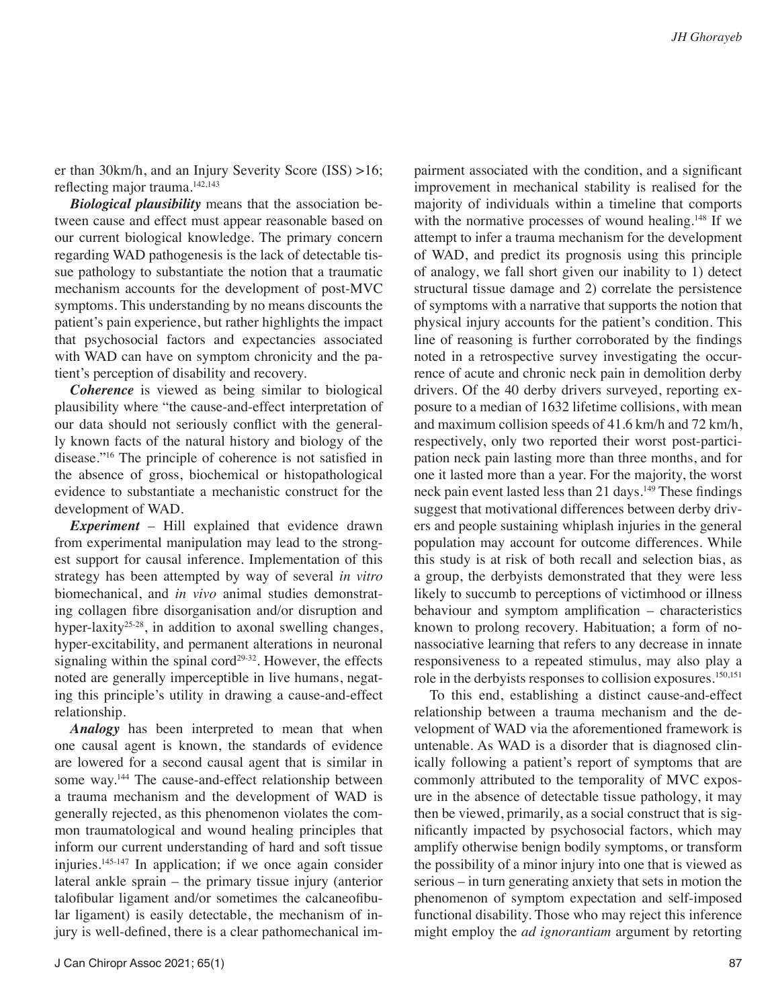J Can Chiropr Assoc 2021; 65(1) 87

er than 30km/h, and an Injury Severity Score (ISS) >16; reflecting major trauma.142,143

*Biological plausibility* means that the association between cause and effect must appear reasonable based on our current biological knowledge. The primary concern regarding WAD pathogenesis is the lack of detectable tissue pathology to substantiate the notion that a traumatic mechanism accounts for the development of post-MVC symptoms. This understanding by no means discounts the patient's pain experience, but rather highlights the impact that psychosocial factors and expectancies associated with WAD can have on symptom chronicity and the patient's perception of disability and recovery.

*Coherence* is viewed as being similar to biological plausibility where "the cause-and-effect interpretation of our data should not seriously conflict with the generally known facts of the natural history and biology of the disease."16 The principle of coherence is not satisfied in the absence of gross, biochemical or histopathological evidence to substantiate a mechanistic construct for the development of WAD.

*Experiment* – Hill explained that evidence drawn from experimental manipulation may lead to the strongest support for causal inference. Implementation of this strategy has been attempted by way of several *in vitro* biomechanical, and *in vivo* animal studies demonstrating collagen fibre disorganisation and/or disruption and hyper-laxity<sup>25-28</sup>, in addition to axonal swelling changes, hyper-excitability, and permanent alterations in neuronal signaling within the spinal cord<sup>29-32</sup>. However, the effects noted are generally imperceptible in live humans, negating this principle's utility in drawing a cause-and-effect relationship.

*Analogy* has been interpreted to mean that when one causal agent is known, the standards of evidence are lowered for a second causal agent that is similar in some way.<sup>144</sup> The cause-and-effect relationship between a trauma mechanism and the development of WAD is generally rejected, as this phenomenon violates the common traumatological and wound healing principles that inform our current understanding of hard and soft tissue injuries.145-147 In application; if we once again consider lateral ankle sprain – the primary tissue injury (anterior talofibular ligament and/or sometimes the calcaneofibular ligament) is easily detectable, the mechanism of injury is well-defined, there is a clear pathomechanical im-

pairment associated with the condition, and a significant improvement in mechanical stability is realised for the majority of individuals within a timeline that comports with the normative processes of wound healing.<sup>148</sup> If we attempt to infer a trauma mechanism for the development of WAD, and predict its prognosis using this principle of analogy, we fall short given our inability to 1) detect structural tissue damage and 2) correlate the persistence of symptoms with a narrative that supports the notion that physical injury accounts for the patient's condition. This line of reasoning is further corroborated by the findings noted in a retrospective survey investigating the occurrence of acute and chronic neck pain in demolition derby drivers. Of the 40 derby drivers surveyed, reporting exposure to a median of 1632 lifetime collisions, with mean and maximum collision speeds of 41.6 km/h and 72 km/h, respectively, only two reported their worst post-participation neck pain lasting more than three months, and for one it lasted more than a year. For the majority, the worst neck pain event lasted less than 21 days.<sup>149</sup> These findings suggest that motivational differences between derby drivers and people sustaining whiplash injuries in the general population may account for outcome differences. While this study is at risk of both recall and selection bias, as a group, the derbyists demonstrated that they were less likely to succumb to perceptions of victimhood or illness behaviour and symptom amplification – characteristics known to prolong recovery. Habituation; a form of nonassociative learning that refers to any decrease in innate responsiveness to a repeated stimulus, may also play a role in the derbyists responses to collision exposures.150,151

To this end, establishing a distinct cause-and-effect relationship between a trauma mechanism and the development of WAD via the aforementioned framework is untenable. As WAD is a disorder that is diagnosed clinically following a patient's report of symptoms that are commonly attributed to the temporality of MVC exposure in the absence of detectable tissue pathology, it may then be viewed, primarily, as a social construct that is significantly impacted by psychosocial factors, which may amplify otherwise benign bodily symptoms, or transform the possibility of a minor injury into one that is viewed as serious – in turn generating anxiety that sets in motion the phenomenon of symptom expectation and self-imposed functional disability. Those who may reject this inference might employ the *ad ignorantiam* argument by retorting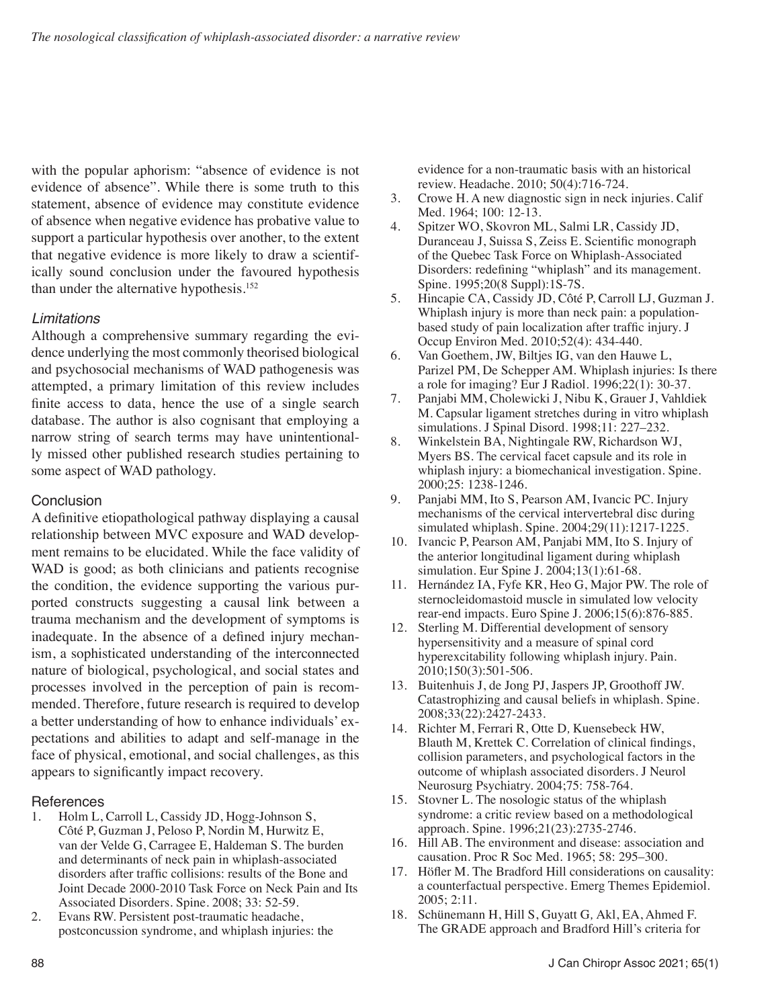with the popular aphorism: "absence of evidence is not evidence of absence". While there is some truth to this statement, absence of evidence may constitute evidence of absence when negative evidence has probative value to support a particular hypothesis over another, to the extent that negative evidence is more likely to draw a scientifically sound conclusion under the favoured hypothesis than under the alternative hypothesis.<sup>152</sup>

# *Limitations*

Although a comprehensive summary regarding the evidence underlying the most commonly theorised biological and psychosocial mechanisms of WAD pathogenesis was attempted, a primary limitation of this review includes finite access to data, hence the use of a single search database. The author is also cognisant that employing a narrow string of search terms may have unintentionally missed other published research studies pertaining to some aspect of WAD pathology.

# **Conclusion**

A definitive etiopathological pathway displaying a causal relationship between MVC exposure and WAD development remains to be elucidated. While the face validity of WAD is good; as both clinicians and patients recognise the condition, the evidence supporting the various purported constructs suggesting a causal link between a trauma mechanism and the development of symptoms is inadequate. In the absence of a defined injury mechanism, a sophisticated understanding of the interconnected nature of biological, psychological, and social states and processes involved in the perception of pain is recommended. Therefore, future research is required to develop a better understanding of how to enhance individuals' expectations and abilities to adapt and self-manage in the face of physical, emotional, and social challenges, as this appears to significantly impact recovery.

# References<br>1 Holm L

- 1. Holm L, Carroll L, Cassidy JD, Hogg-Johnson S, Côté P, Guzman J, Peloso P, Nordin M, Hurwitz E, van der Velde G, Carragee E, Haldeman S. The burden and determinants of neck pain in whiplash-associated disorders after traffic collisions: results of the Bone and Joint Decade 2000-2010 Task Force on Neck Pain and Its Associated Disorders. Spine*.* 2008; 33: 52-59.
- 2. Evans RW. Persistent post-traumatic headache, postconcussion syndrome, and whiplash injuries: the

evidence for a non-traumatic basis with an historical review. Headache. 2010; 50(4):716-724.

- 3. Crowe H. A new diagnostic sign in neck injuries. Calif Med. 1964; 100: 12-13.
- 4. Spitzer WO, Skovron ML, Salmi LR, Cassidy JD, Duranceau J, Suissa S, Zeiss E. Scientific monograph of the Quebec Task Force on Whiplash-Associated Disorders: redefining "whiplash" and its management. Spine. 1995;20(8 Suppl):1S-7S.
- 5. Hincapie CA, Cassidy JD, Côté P, Carroll LJ, Guzman J. Whiplash injury is more than neck pain: a populationbased study of pain localization after traffic injury. J Occup Environ Med. 2010;52(4): 434-440.
- 6. Van Goethem, JW, Biltjes IG, van den Hauwe L, Parizel PM, De Schepper AM. Whiplash injuries: Is there a role for imaging? Eur J Radiol. 1996;22(1): 30-37.
- 7. Panjabi MM, Cholewicki J, Nibu K, Grauer J, Vahldiek M. Capsular ligament stretches during in vitro whiplash simulations. J Spinal Disord. 1998;11: 227–232.
- 8. Winkelstein BA, Nightingale RW, Richardson WJ, Myers BS. The cervical facet capsule and its role in whiplash injury: a biomechanical investigation. Spine. 2000;25: 1238-1246.
- 9. Panjabi MM, Ito S, Pearson AM, Ivancic PC. Injury mechanisms of the cervical intervertebral disc during simulated whiplash. Spine. 2004;29(11):1217-1225.
- 10. Ivancic P, Pearson AM, Panjabi MM, Ito S. Injury of the anterior longitudinal ligament during whiplash simulation. Eur Spine J. 2004;13(1):61-68.
- 11. Hernández IA, Fyfe KR, Heo G, Major PW. The role of sternocleidomastoid muscle in simulated low velocity rear-end impacts. Euro Spine J. 2006;15(6):876-885.
- 12. Sterling M. Differential development of sensory hypersensitivity and a measure of spinal cord hyperexcitability following whiplash injury. Pain. 2010;150(3):501-506.
- 13. Buitenhuis J, de Jong PJ, Jaspers JP, Groothoff JW. Catastrophizing and causal beliefs in whiplash. Spine. 2008;33(22):2427-2433.
- 14. Richter M, Ferrari R, Otte D*,* Kuensebeck HW, Blauth M, Krettek C*.* Correlation of clinical findings, collision parameters, and psychological factors in the outcome of whiplash associated disorders. J Neurol Neurosurg Psychiatry. 2004;75: 758-764.
- 15. Stovner L. The nosologic status of the whiplash syndrome: a critic review based on a methodological approach. Spine. 1996;21(23):2735-2746.
- 16. Hill AB. The environment and disease: association and causation. Proc R Soc Med. 1965; 58: 295–300.
- 17. Höfler M. The Bradford Hill considerations on causality: a counterfactual perspective. Emerg Themes Epidemiol. 2005; 2:11.
- 18. Schünemann H, Hill S, Guyatt G*,* Akl, EA, Ahmed F. The GRADE approach and Bradford Hill's criteria for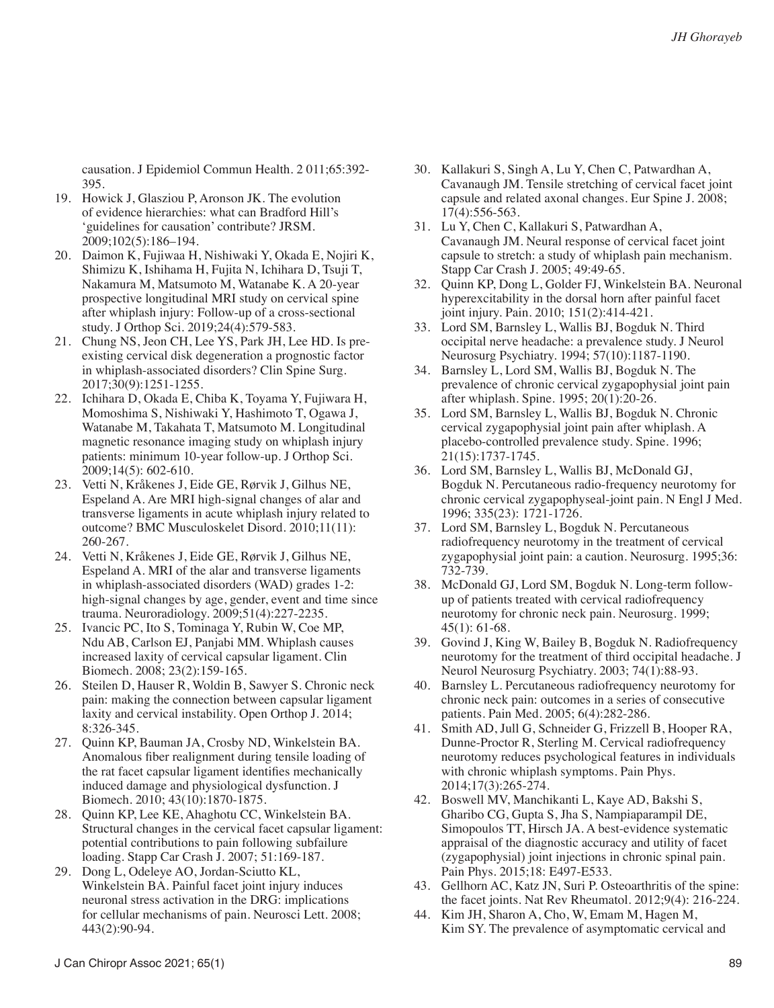causation. J Epidemiol Commun Health. 2 011;65:392- 395.

- 19. Howick J, Glasziou P, Aronson JK. The evolution of evidence hierarchies: what can Bradford Hill's 'guidelines for causation' contribute? JRSM. 2009;102(5):186–194.
- 20. Daimon K, Fujiwaa H, Nishiwaki Y, Okada E, Nojiri K, Shimizu K, Ishihama H, Fujita N, Ichihara D, Tsuji T, Nakamura M, Matsumoto M, Watanabe K. A 20-year prospective longitudinal MRI study on cervical spine after whiplash injury: Follow-up of a cross-sectional study. J Orthop Sci. 2019;24(4):579-583.
- 21. Chung NS, Jeon CH, Lee YS, Park JH, Lee HD. Is preexisting cervical disk degeneration a prognostic factor in whiplash-associated disorders? Clin Spine Surg. 2017;30(9):1251-1255.
- 22. Ichihara D, Okada E, Chiba K, Toyama Y, Fujiwara H, Momoshima S, Nishiwaki Y, Hashimoto T, Ogawa J, Watanabe M, Takahata T, Matsumoto M. Longitudinal magnetic resonance imaging study on whiplash injury patients: minimum 10-year follow-up. J Orthop Sci. 2009;14(5): 602-610.
- 23. Vetti N, Kråkenes J, Eide GE, Rørvik J, Gilhus NE, Espeland A. Are MRI high-signal changes of alar and transverse ligaments in acute whiplash injury related to outcome? BMC Musculoskelet Disord. 2010;11(11): 260-267.
- 24. Vetti N, Kråkenes J, Eide GE, Rørvik J, Gilhus NE, Espeland A. MRI of the alar and transverse ligaments in whiplash-associated disorders (WAD) grades 1-2: high-signal changes by age, gender, event and time since trauma. Neuroradiology. 2009;51(4):227-2235.
- 25. Ivancic PC, Ito S, Tominaga Y, Rubin W, Coe MP, Ndu AB, Carlson EJ, Panjabi MM. Whiplash causes increased laxity of cervical capsular ligament. Clin Biomech. 2008; 23(2):159-165.
- 26. Steilen D, Hauser R, Woldin B, Sawyer S. Chronic neck pain: making the connection between capsular ligament laxity and cervical instability. Open Orthop J. 2014; 8:326-345.
- 27. Quinn KP, Bauman JA, Crosby ND, Winkelstein BA. Anomalous fiber realignment during tensile loading of the rat facet capsular ligament identifies mechanically induced damage and physiological dysfunction. J Biomech. 2010; 43(10):1870-1875.
- 28. Quinn KP, Lee KE, Ahaghotu CC, Winkelstein BA. Structural changes in the cervical facet capsular ligament: potential contributions to pain following subfailure loading. Stapp Car Crash J. 2007; 51:169-187.
- 29. Dong L, Odeleye AO, Jordan-Sciutto KL, Winkelstein BA. Painful facet joint injury induces neuronal stress activation in the DRG: implications for cellular mechanisms of pain. Neurosci Lett. 2008; 443(2):90-94.
- 30. Kallakuri S, Singh A, Lu Y, Chen C, Patwardhan A, Cavanaugh JM. Tensile stretching of cervical facet joint capsule and related axonal changes. Eur Spine J. 2008; 17(4):556-563.
- 31. Lu Y, Chen C, Kallakuri S, Patwardhan A, Cavanaugh JM. Neural response of cervical facet joint capsule to stretch: a study of whiplash pain mechanism. Stapp Car Crash J. 2005; 49:49-65.
- 32. Quinn KP, Dong L, Golder FJ, Winkelstein BA. Neuronal hyperexcitability in the dorsal horn after painful facet joint injury. Pain. 2010; 151(2):414-421.
- 33. Lord SM, Barnsley L, Wallis BJ, Bogduk N. Third occipital nerve headache: a prevalence study. J Neurol Neurosurg Psychiatry. 1994; 57(10):1187-1190.
- 34. Barnsley L, Lord SM, Wallis BJ, Bogduk N. The prevalence of chronic cervical zygapophysial joint pain after whiplash. Spine. 1995; 20(1):20-26.
- 35. Lord SM, Barnsley L, Wallis BJ, Bogduk N. Chronic cervical zygapophysial joint pain after whiplash. A placebo-controlled prevalence study. Spine. 1996; 21(15):1737-1745.
- 36. Lord SM, Barnsley L, Wallis BJ, McDonald GJ, Bogduk N. Percutaneous radio-frequency neurotomy for chronic cervical zygapophyseal-joint pain. N Engl J Med. 1996; 335(23): 1721-1726.
- 37. Lord SM, Barnsley L, Bogduk N. Percutaneous radiofrequency neurotomy in the treatment of cervical zygapophysial joint pain: a caution. Neurosurg. 1995;36: 732-739.
- 38. McDonald GJ, Lord SM, Bogduk N. Long-term followup of patients treated with cervical radiofrequency neurotomy for chronic neck pain. Neurosurg. 1999; 45(1): 61-68.
- 39. Govind J, King W, Bailey B, Bogduk N. Radiofrequency neurotomy for the treatment of third occipital headache. J Neurol Neurosurg Psychiatry. 2003; 74(1):88-93.
- 40. Barnsley L. Percutaneous radiofrequency neurotomy for chronic neck pain: outcomes in a series of consecutive patients. Pain Med. 2005; 6(4):282-286.
- 41. Smith AD, Jull G, Schneider G, Frizzell B, Hooper RA, Dunne-Proctor R, Sterling M. Cervical radiofrequency neurotomy reduces psychological features in individuals with chronic whiplash symptoms. Pain Phys. 2014;17(3):265-274.
- 42. Boswell MV, Manchikanti L, Kaye AD, Bakshi S, Gharibo CG, Gupta S, Jha S, Nampiaparampil DE, Simopoulos TT, Hirsch JA. A best-evidence systematic appraisal of the diagnostic accuracy and utility of facet (zygapophysial) joint injections in chronic spinal pain. Pain Phys. 2015;18: E497-E533.
- 43. Gellhorn AC, Katz JN, Suri P. Osteoarthritis of the spine: the facet joints. Nat Rev Rheumatol. 2012;9(4): 216-224.
- 44. Kim JH, Sharon A, Cho, W, Emam M, Hagen M, Kim SY. The prevalence of asymptomatic cervical and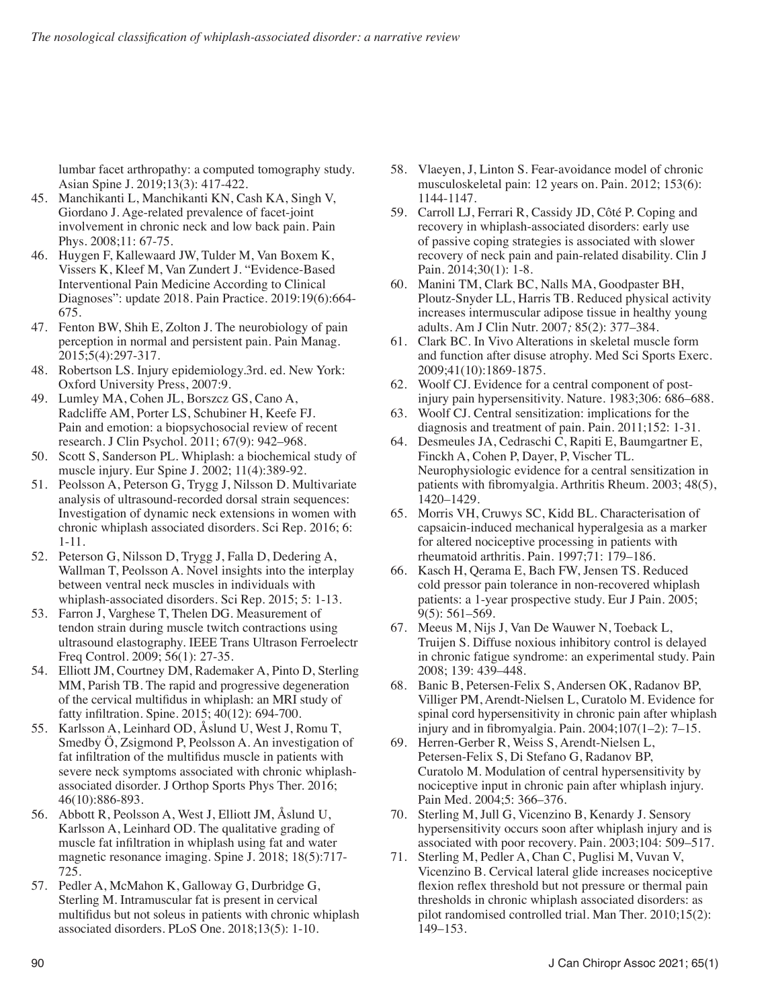lumbar facet arthropathy: a computed tomography study. Asian Spine J. 2019;13(3): 417-422.

- 45. Manchikanti L, Manchikanti KN, Cash KA, Singh V, Giordano J. Age-related prevalence of facet-joint involvement in chronic neck and low back pain. Pain Phys. 2008;11: 67-75.
- 46. Huygen F, Kallewaard JW, Tulder M, Van Boxem K, Vissers K, Kleef M, Van Zundert J. "Evidence-Based Interventional Pain Medicine According to Clinical Diagnoses": update 2018. Pain Practice. 2019:19(6):664- 675.
- 47. Fenton BW, Shih E, Zolton J. The neurobiology of pain perception in normal and persistent pain. Pain Manag. 2015;5(4):297-317.
- 48. Robertson LS. Injury epidemiology.3rd. ed. New York: Oxford University Press, 2007:9.
- 49. Lumley MA, Cohen JL, Borszcz GS, Cano A, Radcliffe AM, Porter LS, Schubiner H, Keefe FJ. Pain and emotion: a biopsychosocial review of recent research. J Clin Psychol. 2011; 67(9): 942–968.
- 50. Scott S, Sanderson PL. Whiplash: a biochemical study of muscle injury. Eur Spine J. 2002; 11(4):389-92.
- 51. Peolsson A, Peterson G, Trygg J, Nilsson D. Multivariate analysis of ultrasound-recorded dorsal strain sequences: Investigation of dynamic neck extensions in women with chronic whiplash associated disorders. Sci Rep. 2016; 6: 1-11.
- 52. Peterson G, Nilsson D, Trygg J, Falla D, Dedering A, Wallman T, Peolsson A. Novel insights into the interplay between ventral neck muscles in individuals with whiplash-associated disorders. Sci Rep. 2015; 5: 1-13.
- 53. Farron J, Varghese T, Thelen DG. Measurement of tendon strain during muscle twitch contractions using ultrasound elastography. IEEE Trans Ultrason Ferroelectr Freq Control. 2009; 56(1): 27-35.
- 54. Elliott JM, Courtney DM, Rademaker A, Pinto D, Sterling MM, Parish TB. The rapid and progressive degeneration of the cervical multifidus in whiplash: an MRI study of fatty infiltration. Spine. 2015; 40(12): 694-700.
- 55. Karlsson A, Leinhard OD, Åslund U, West J, Romu T, Smedby Ö, Zsigmond P, Peolsson A. An investigation of fat infiltration of the multifidus muscle in patients with severe neck symptoms associated with chronic whiplashassociated disorder. J Orthop Sports Phys Ther. 2016; 46(10):886-893.
- 56. Abbott R, Peolsson A, West J, Elliott JM, Åslund U, Karlsson A, Leinhard OD. The qualitative grading of muscle fat infiltration in whiplash using fat and water magnetic resonance imaging. Spine J. 2018; 18(5):717- 725.
- 57. Pedler A, McMahon K, Galloway G, Durbridge G, Sterling M. Intramuscular fat is present in cervical multifidus but not soleus in patients with chronic whiplash associated disorders. PLoS One. 2018;13(5): 1-10.
- 58. Vlaeyen, J, Linton S. Fear-avoidance model of chronic musculoskeletal pain: 12 years on. Pain. 2012; 153(6): 1144-1147.
- 59. Carroll LJ, Ferrari R, Cassidy JD, Côté P. Coping and recovery in whiplash-associated disorders: early use of passive coping strategies is associated with slower recovery of neck pain and pain-related disability. Clin J Pain. 2014;30(1): 1-8.
- 60. Manini TM, Clark BC, Nalls MA, Goodpaster BH, Ploutz-Snyder LL, Harris TB. Reduced physical activity increases intermuscular adipose tissue in healthy young adults. Am J Clin Nutr. 2007*;* 85(2): 377–384.
- 61. Clark BC. In Vivo Alterations in skeletal muscle form and function after disuse atrophy. Med Sci Sports Exerc. 2009;41(10):1869-1875.
- 62. Woolf CJ. Evidence for a central component of postinjury pain hypersensitivity. Nature. 1983;306: 686–688.
- 63. Woolf CJ. Central sensitization: implications for the diagnosis and treatment of pain. Pain. 2011;152: 1-31.
- 64. Desmeules JA, Cedraschi C, Rapiti E, Baumgartner E, Finckh A, Cohen P, Dayer, P, Vischer TL. Neurophysiologic evidence for a central sensitization in patients with fibromyalgia. Arthritis Rheum. 2003; 48(5), 1420–1429.
- 65. Morris VH, Cruwys SC, Kidd BL. Characterisation of capsaicin-induced mechanical hyperalgesia as a marker for altered nociceptive processing in patients with rheumatoid arthritis. Pain. 1997;71: 179–186.
- 66. Kasch H, Qerama E, Bach FW, Jensen TS. Reduced cold pressor pain tolerance in non-recovered whiplash patients: a 1-year prospective study. Eur J Pain. 2005; 9(5): 561–569.
- 67. Meeus M, Nijs J, Van De Wauwer N, Toeback L, Truijen S. Diffuse noxious inhibitory control is delayed in chronic fatigue syndrome: an experimental study. Pain 2008; 139: 439–448.
- 68. Banic B, Petersen-Felix S, Andersen OK, Radanov BP, Villiger PM, Arendt-Nielsen L, Curatolo M. Evidence for spinal cord hypersensitivity in chronic pain after whiplash injury and in fibromyalgia. Pain. 2004;107(1–2): 7–15.
- 69. Herren-Gerber R, Weiss S, Arendt-Nielsen L, Petersen-Felix S, Di Stefano G, Radanov BP, Curatolo M. Modulation of central hypersensitivity by nociceptive input in chronic pain after whiplash injury. Pain Med. 2004;5: 366–376.
- 70. Sterling M, Jull G, Vicenzino B, Kenardy J. Sensory hypersensitivity occurs soon after whiplash injury and is associated with poor recovery. Pain. 2003;104: 509–517.
- 71. Sterling M, Pedler A, Chan C, Puglisi M, Vuvan V, Vicenzino B. Cervical lateral glide increases nociceptive flexion reflex threshold but not pressure or thermal pain thresholds in chronic whiplash associated disorders: as pilot randomised controlled trial. Man Ther. 2010;15(2): 149–153.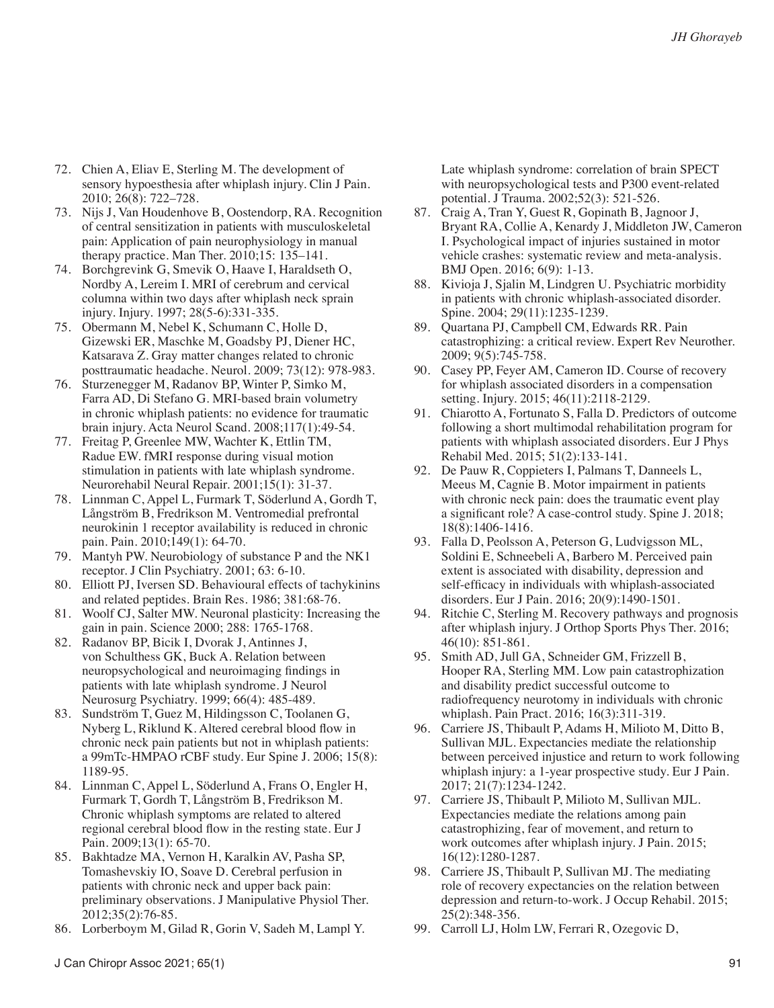- 72. Chien A, Eliav E, Sterling M. The development of sensory hypoesthesia after whiplash injury. Clin J Pain. 2010; 26(8): 722–728.
- 73. Nijs J, Van Houdenhove B, Oostendorp, RA. Recognition of central sensitization in patients with musculoskeletal pain: Application of pain neurophysiology in manual therapy practice. Man Ther. 2010;15: 135–141.
- 74. Borchgrevink G, Smevik O, Haave I, Haraldseth O, Nordby A, Lereim I. MRI of cerebrum and cervical columna within two days after whiplash neck sprain injury. Injury. 1997; 28(5-6):331-335.
- 75. Obermann M, Nebel K, Schumann C, Holle D, Gizewski ER, Maschke M, Goadsby PJ, Diener HC, Katsarava Z. Gray matter changes related to chronic posttraumatic headache. Neurol. 2009; 73(12): 978-983.
- 76. Sturzenegger M, Radanov BP, Winter P, Simko M, Farra AD, Di Stefano G. MRI-based brain volumetry in chronic whiplash patients: no evidence for traumatic brain injury. Acta Neurol Scand. 2008;117(1):49-54.
- 77. Freitag P, Greenlee MW, Wachter K, Ettlin TM, Radue EW. fMRI response during visual motion stimulation in patients with late whiplash syndrome. Neurorehabil Neural Repair. 2001;15(1): 31-37.
- 78. Linnman C, Appel L, Furmark T, Söderlund A, Gordh T, Långström B, Fredrikson M. Ventromedial prefrontal neurokinin 1 receptor availability is reduced in chronic pain. Pain. 2010;149(1): 64-70.
- 79. Mantyh PW. Neurobiology of substance P and the NK1 receptor. J Clin Psychiatry. 2001; 63: 6-10.
- 80. Elliott PJ, Iversen SD. Behavioural effects of tachykinins and related peptides. Brain Res. 1986; 381:68-76.
- 81. Woolf CJ, Salter MW. Neuronal plasticity: Increasing the gain in pain. Science 2000; 288: 1765-1768.
- 82. Radanov BP, Bicik I, Dvorak J, Antinnes J, von Schulthess GK, Buck A. Relation between neuropsychological and neuroimaging findings in patients with late whiplash syndrome. J Neurol Neurosurg Psychiatry. 1999; 66(4): 485-489.
- 83. Sundström T, Guez M, Hildingsson C, Toolanen G, Nyberg L, Riklund K. Altered cerebral blood flow in chronic neck pain patients but not in whiplash patients: a 99mTc-HMPAO rCBF study. Eur Spine J. 2006; 15(8): 1189-95.
- 84. Linnman C, Appel L, Söderlund A, Frans O, Engler H, Furmark T, Gordh T, Långström B, Fredrikson M. Chronic whiplash symptoms are related to altered regional cerebral blood flow in the resting state. Eur J Pain. 2009;13(1): 65-70.
- 85. Bakhtadze MA, Vernon H, Karalkin AV, Pasha SP, Tomashevskiy IO, Soave D. Cerebral perfusion in patients with chronic neck and upper back pain: preliminary observations. J Manipulative Physiol Ther. 2012;35(2):76-85.
- 86. Lorberboym M, Gilad R, Gorin V, Sadeh M, Lampl Y.

Late whiplash syndrome: correlation of brain SPECT with neuropsychological tests and P300 event-related potential. J Trauma. 2002;52(3): 521-526.

- 87. Craig A, Tran Y, Guest R, Gopinath B, Jagnoor J, Bryant RA, Collie A, Kenardy J, Middleton JW, Cameron I. Psychological impact of injuries sustained in motor vehicle crashes: systematic review and meta-analysis. BMJ Open. 2016; 6(9): 1-13.
- 88. Kivioja J, Sjalin M, Lindgren U. Psychiatric morbidity in patients with chronic whiplash-associated disorder. Spine. 2004; 29(11):1235-1239.
- 89. Quartana PJ, Campbell CM, Edwards RR. Pain catastrophizing: a critical review. Expert Rev Neurother. 2009; 9(5):745-758.
- 90. Casey PP, Feyer AM, Cameron ID. Course of recovery for whiplash associated disorders in a compensation setting. Injury. 2015; 46(11):2118-2129.
- 91. Chiarotto A, Fortunato S, Falla D. Predictors of outcome following a short multimodal rehabilitation program for patients with whiplash associated disorders. Eur J Phys Rehabil Med. 2015; 51(2):133-141.
- 92. De Pauw R, Coppieters I, Palmans T, Danneels L, Meeus M, Cagnie B. Motor impairment in patients with chronic neck pain: does the traumatic event play a significant role? A case-control study. Spine J. 2018; 18(8):1406-1416.
- 93. Falla D, Peolsson A, Peterson G, Ludvigsson ML, Soldini E, Schneebeli A, Barbero M. Perceived pain extent is associated with disability, depression and self-efficacy in individuals with whiplash-associated disorders. Eur J Pain. 2016; 20(9):1490-1501.
- 94. Ritchie C, Sterling M. Recovery pathways and prognosis after whiplash injury. J Orthop Sports Phys Ther. 2016; 46(10): 851-861.
- 95. Smith AD, Jull GA, Schneider GM, Frizzell B, Hooper RA, Sterling MM. Low pain catastrophization and disability predict successful outcome to radiofrequency neurotomy in individuals with chronic whiplash. Pain Pract. 2016; 16(3):311-319.
- 96. Carriere JS, Thibault P, Adams H, Milioto M, Ditto B, Sullivan MJL. Expectancies mediate the relationship between perceived injustice and return to work following whiplash injury: a 1-year prospective study. Eur J Pain. 2017; 21(7):1234-1242.
- 97. Carriere JS, Thibault P, Milioto M, Sullivan MJL. Expectancies mediate the relations among pain catastrophizing, fear of movement, and return to work outcomes after whiplash injury. J Pain. 2015; 16(12):1280-1287.
- 98. Carriere JS, Thibault P, Sullivan MJ. The mediating role of recovery expectancies on the relation between depression and return-to-work. J Occup Rehabil. 2015; 25(2):348-356.
- 99. Carroll LJ, Holm LW, Ferrari R, Ozegovic D,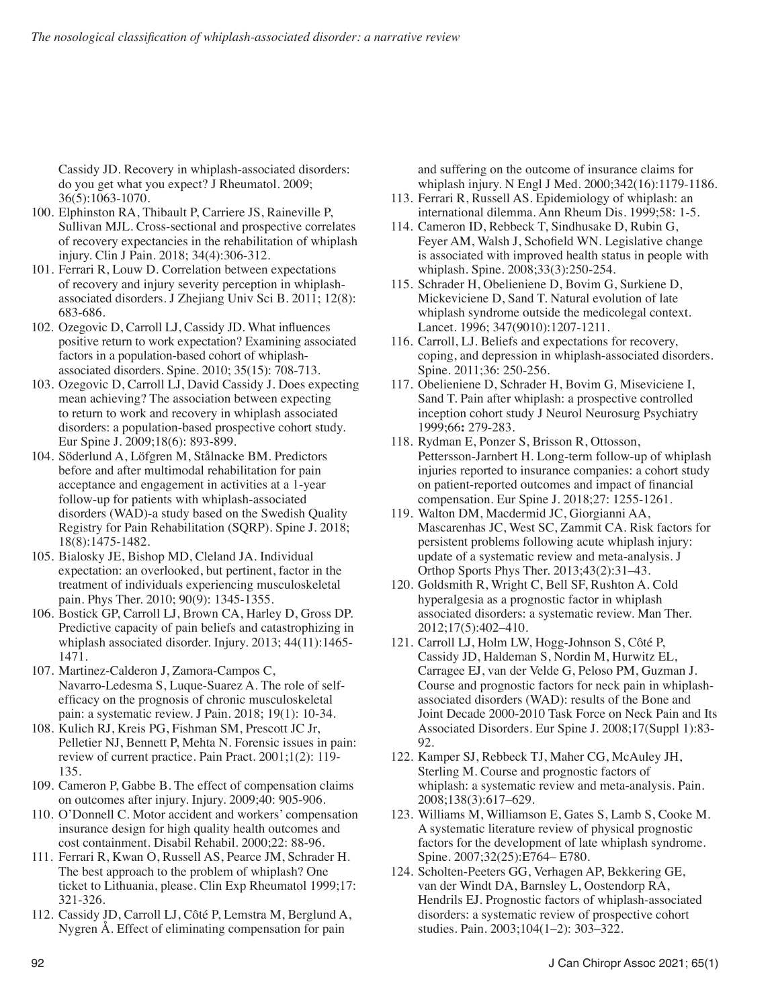Cassidy JD. Recovery in whiplash-associated disorders: do you get what you expect? J Rheumatol. 2009; 36(5):1063-1070.

- 100. Elphinston RA, Thibault P, Carriere JS, Raineville P, Sullivan MJL. Cross-sectional and prospective correlates of recovery expectancies in the rehabilitation of whiplash injury. Clin J Pain. 2018; 34(4):306-312.
- 101. Ferrari R, Louw D. Correlation between expectations of recovery and injury severity perception in whiplashassociated disorders. J Zhejiang Univ Sci B. 2011; 12(8): 683-686.
- 102. Ozegovic D, Carroll LJ, Cassidy JD. What influences positive return to work expectation? Examining associated factors in a population-based cohort of whiplashassociated disorders. Spine. 2010; 35(15): 708-713.
- 103. Ozegovic D, Carroll LJ, David Cassidy J. Does expecting mean achieving? The association between expecting to return to work and recovery in whiplash associated disorders: a population-based prospective cohort study. Eur Spine J. 2009;18(6): 893-899.
- 104. Söderlund A, Löfgren M, Stålnacke BM. Predictors before and after multimodal rehabilitation for pain acceptance and engagement in activities at a 1-year follow-up for patients with whiplash-associated disorders (WAD)-a study based on the Swedish Quality Registry for Pain Rehabilitation (SQRP). Spine J. 2018; 18(8):1475-1482.
- 105. Bialosky JE, Bishop MD, Cleland JA. Individual expectation: an overlooked, but pertinent, factor in the treatment of individuals experiencing musculoskeletal pain. Phys Ther. 2010; 90(9): 1345-1355.
- 106. Bostick GP, Carroll LJ, Brown CA, Harley D, Gross DP. Predictive capacity of pain beliefs and catastrophizing in whiplash associated disorder. Injury. 2013; 44(11):1465- 1471.
- 107. Martinez-Calderon J, Zamora-Campos C, Navarro-Ledesma S, Luque-Suarez A. The role of selfefficacy on the prognosis of chronic musculoskeletal pain: a systematic review. J Pain. 2018; 19(1): 10-34.
- 108. Kulich RJ, Kreis PG, Fishman SM, Prescott JC Jr, Pelletier NJ, Bennett P, Mehta N. Forensic issues in pain: review of current practice. Pain Pract. 2001;1(2): 119- 135.
- 109. Cameron P, Gabbe B. The effect of compensation claims on outcomes after injury. Injury. 2009;40: 905-906.
- 110. O'Donnell C. Motor accident and workers' compensation insurance design for high quality health outcomes and cost containment. Disabil Rehabil. 2000;22: 88-96.
- 111. Ferrari R, Kwan O, Russell AS, Pearce JM, Schrader H. The best approach to the problem of whiplash? One ticket to Lithuania, please. Clin Exp Rheumatol 1999;17: 321-326.
- 112. Cassidy JD, Carroll LJ, Côté P, Lemstra M, Berglund A, Nygren Å. Effect of eliminating compensation for pain

and suffering on the outcome of insurance claims for whiplash injury. N Engl J Med. 2000;342(16):1179-1186.

- 113. Ferrari R, Russell AS. Epidemiology of whiplash: an international dilemma. Ann Rheum Dis. 1999;58: 1-5.
- 114. Cameron ID, Rebbeck T, Sindhusake D, Rubin G, Feyer AM, Walsh J, Schofield WN. Legislative change is associated with improved health status in people with whiplash. Spine. 2008;33(3):250-254.
- 115. Schrader H, Obelieniene D, Bovim G, Surkiene D, Mickeviciene D, Sand T. Natural evolution of late whiplash syndrome outside the medicolegal context. Lancet. 1996; 347(9010):1207-1211.
- 116. Carroll, LJ. Beliefs and expectations for recovery, coping, and depression in whiplash-associated disorders. Spine. 2011;36: 250-256.
- 117. Obelieniene D, Schrader H, Bovim G*,* Miseviciene I, Sand T. Pain after whiplash: a prospective controlled inception cohort study J Neurol Neurosurg Psychiatry 1999;66**:** 279-283.
- 118. Rydman E, Ponzer S, Brisson R, Ottosson, Pettersson-Jarnbert H. Long-term follow-up of whiplash injuries reported to insurance companies: a cohort study on patient-reported outcomes and impact of financial compensation. Eur Spine J. 2018;27: 1255-1261.
- 119. Walton DM, Macdermid JC, Giorgianni AA, Mascarenhas JC, West SC, Zammit CA. Risk factors for persistent problems following acute whiplash injury: update of a systematic review and meta-analysis. J Orthop Sports Phys Ther. 2013;43(2):31–43.
- 120. Goldsmith R, Wright C, Bell SF, Rushton A. Cold hyperalgesia as a prognostic factor in whiplash associated disorders: a systematic review. Man Ther. 2012;17(5):402–410.
- 121. Carroll LJ, Holm LW, Hogg-Johnson S, Côté P, Cassidy JD, Haldeman S, Nordin M, Hurwitz EL, Carragee EJ, van der Velde G, Peloso PM, Guzman J. Course and prognostic factors for neck pain in whiplashassociated disorders (WAD): results of the Bone and Joint Decade 2000-2010 Task Force on Neck Pain and Its Associated Disorders. Eur Spine J. 2008;17(Suppl 1):83- 92.
- 122. Kamper SJ, Rebbeck TJ, Maher CG, McAuley JH, Sterling M. Course and prognostic factors of whiplash: a systematic review and meta-analysis. Pain. 2008;138(3):617–629.
- 123. Williams M, Williamson E, Gates S, Lamb S, Cooke M. A systematic literature review of physical prognostic factors for the development of late whiplash syndrome. Spine. 2007;32(25):E764– E780.
- 124. Scholten-Peeters GG, Verhagen AP, Bekkering GE, van der Windt DA, Barnsley L, Oostendorp RA, Hendrils EJ. Prognostic factors of whiplash-associated disorders: a systematic review of prospective cohort studies. Pain. 2003;104(1–2): 303–322.